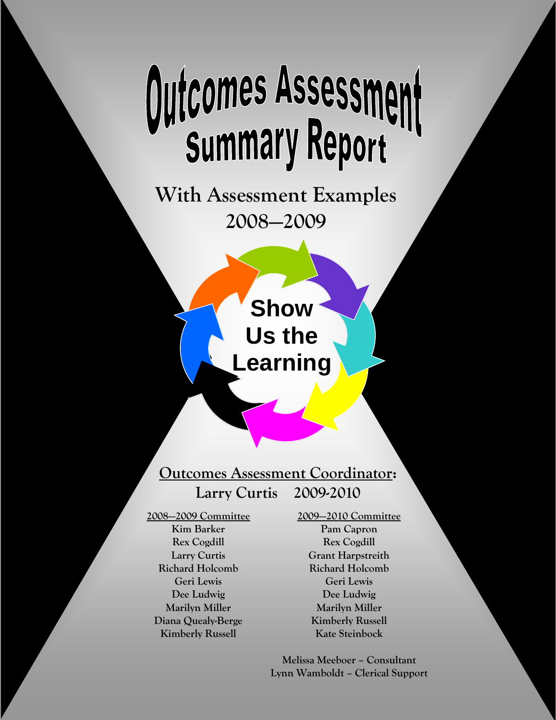# Outcomes Assessment

**With Assessment Examples 2008—2009** 

> **Show Us the Learning**

# **Outcomes Assessment Coordinator: Larry Curtis 2009-2010**

**2008—2009 Committee Kim Barker Rex Cogdill Larry Curtis Richard Holcomb Geri Lewis Dee Ludwig Marilyn Miller Diana Quealy-Berge Kimberly Russell**

**2009—2010 Committee Pam Capron Rex Cogdill Grant Harpstreith Richard Holcomb Geri Lewis Dee Ludwig Marilyn Miller Kimberly Russell Kate Steinbock** 

**Melissa Meeboer – Consultant Lynn Wamboldt – Clerical Support**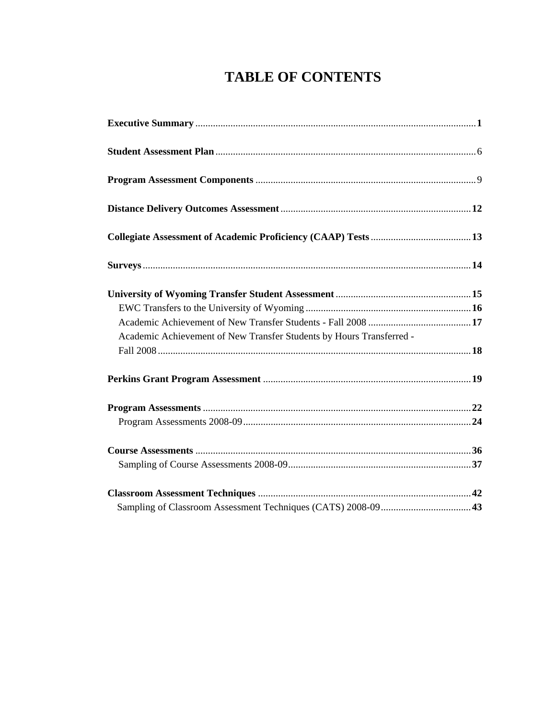# **TABLE OF CONTENTS**

| Academic Achievement of New Transfer Students by Hours Transferred - |  |
|----------------------------------------------------------------------|--|
|                                                                      |  |
|                                                                      |  |
|                                                                      |  |
|                                                                      |  |
|                                                                      |  |
|                                                                      |  |
|                                                                      |  |
|                                                                      |  |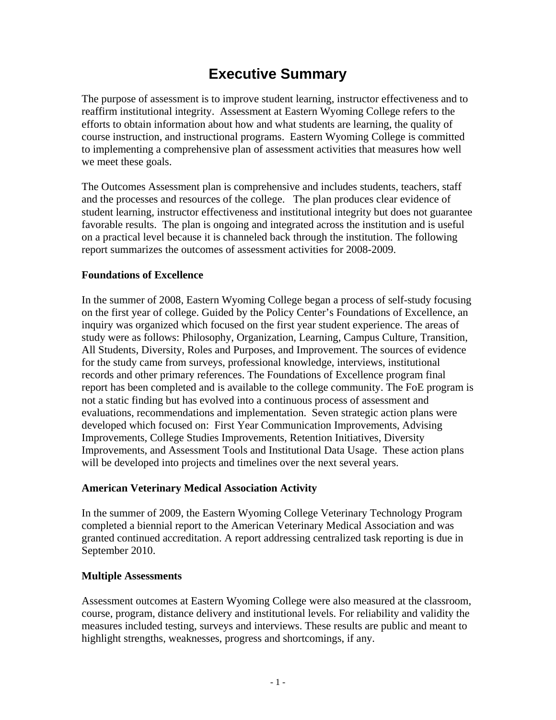# **Executive Summary**

The purpose of assessment is to improve student learning, instructor effectiveness and to reaffirm institutional integrity. Assessment at Eastern Wyoming College refers to the efforts to obtain information about how and what students are learning, the quality of course instruction, and instructional programs. Eastern Wyoming College is committed to implementing a comprehensive plan of assessment activities that measures how well we meet these goals.

The Outcomes Assessment plan is comprehensive and includes students, teachers, staff and the processes and resources of the college. The plan produces clear evidence of student learning, instructor effectiveness and institutional integrity but does not guarantee favorable results. The plan is ongoing and integrated across the institution and is useful on a practical level because it is channeled back through the institution. The following report summarizes the outcomes of assessment activities for 2008-2009.

## **Foundations of Excellence**

In the summer of 2008, Eastern Wyoming College began a process of self-study focusing on the first year of college. Guided by the Policy Center's Foundations of Excellence, an inquiry was organized which focused on the first year student experience. The areas of study were as follows: Philosophy, Organization, Learning, Campus Culture, Transition, All Students, Diversity, Roles and Purposes, and Improvement. The sources of evidence for the study came from surveys, professional knowledge, interviews, institutional records and other primary references. The Foundations of Excellence program final report has been completed and is available to the college community. The FoE program is not a static finding but has evolved into a continuous process of assessment and evaluations, recommendations and implementation. Seven strategic action plans were developed which focused on: First Year Communication Improvements, Advising Improvements, College Studies Improvements, Retention Initiatives, Diversity Improvements, and Assessment Tools and Institutional Data Usage. These action plans will be developed into projects and timelines over the next several years.

## **American Veterinary Medical Association Activity**

In the summer of 2009, the Eastern Wyoming College Veterinary Technology Program completed a biennial report to the American Veterinary Medical Association and was granted continued accreditation. A report addressing centralized task reporting is due in September 2010.

### **Multiple Assessments**

Assessment outcomes at Eastern Wyoming College were also measured at the classroom, course, program, distance delivery and institutional levels. For reliability and validity the measures included testing, surveys and interviews. These results are public and meant to highlight strengths, weaknesses, progress and shortcomings, if any.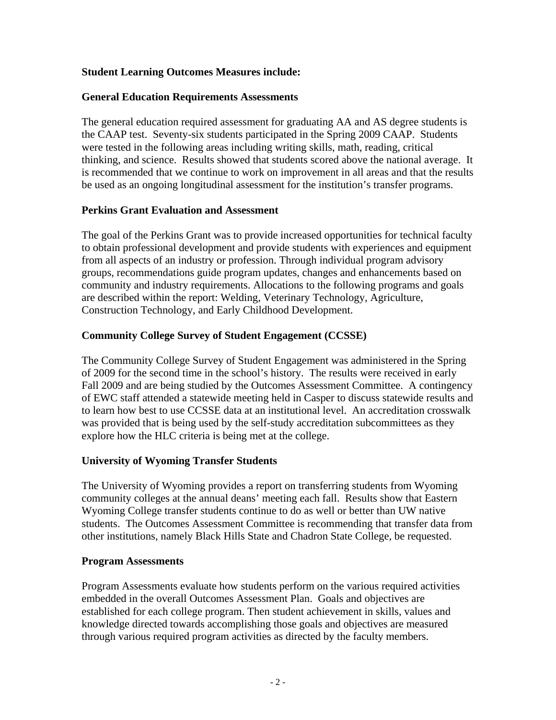## **Student Learning Outcomes Measures include:**

## **General Education Requirements Assessments**

The general education required assessment for graduating AA and AS degree students is the CAAP test. Seventy-six students participated in the Spring 2009 CAAP. Students were tested in the following areas including writing skills, math, reading, critical thinking, and science. Results showed that students scored above the national average. It is recommended that we continue to work on improvement in all areas and that the results be used as an ongoing longitudinal assessment for the institution's transfer programs.

## **Perkins Grant Evaluation and Assessment**

The goal of the Perkins Grant was to provide increased opportunities for technical faculty to obtain professional development and provide students with experiences and equipment from all aspects of an industry or profession. Through individual program advisory groups, recommendations guide program updates, changes and enhancements based on community and industry requirements. Allocations to the following programs and goals are described within the report: Welding, Veterinary Technology, Agriculture, Construction Technology, and Early Childhood Development.

## **Community College Survey of Student Engagement (CCSSE)**

The Community College Survey of Student Engagement was administered in the Spring of 2009 for the second time in the school's history. The results were received in early Fall 2009 and are being studied by the Outcomes Assessment Committee. A contingency of EWC staff attended a statewide meeting held in Casper to discuss statewide results and to learn how best to use CCSSE data at an institutional level. An accreditation crosswalk was provided that is being used by the self-study accreditation subcommittees as they explore how the HLC criteria is being met at the college.

## **University of Wyoming Transfer Students**

The University of Wyoming provides a report on transferring students from Wyoming community colleges at the annual deans' meeting each fall. Results show that Eastern Wyoming College transfer students continue to do as well or better than UW native students. The Outcomes Assessment Committee is recommending that transfer data from other institutions, namely Black Hills State and Chadron State College, be requested.

### **Program Assessments**

Program Assessments evaluate how students perform on the various required activities embedded in the overall Outcomes Assessment Plan. Goals and objectives are established for each college program. Then student achievement in skills, values and knowledge directed towards accomplishing those goals and objectives are measured through various required program activities as directed by the faculty members.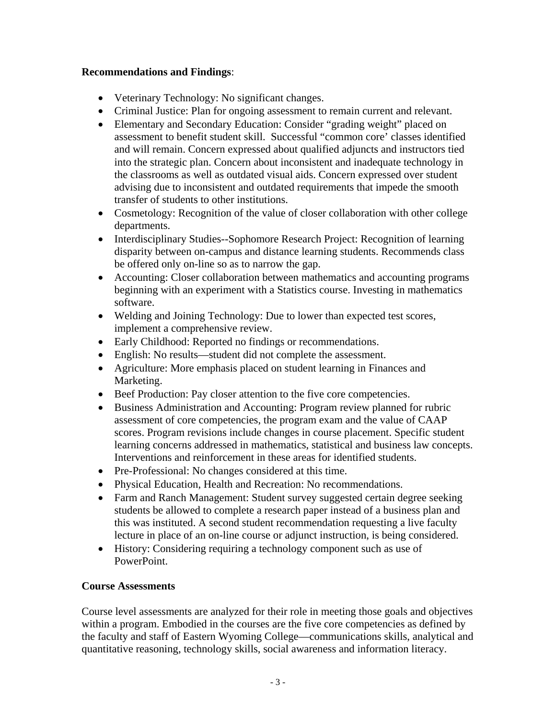## **Recommendations and Findings**:

- Veterinary Technology: No significant changes.
- Criminal Justice: Plan for ongoing assessment to remain current and relevant.
- Elementary and Secondary Education: Consider "grading weight" placed on assessment to benefit student skill. Successful "common core' classes identified and will remain. Concern expressed about qualified adjuncts and instructors tied into the strategic plan. Concern about inconsistent and inadequate technology in the classrooms as well as outdated visual aids. Concern expressed over student advising due to inconsistent and outdated requirements that impede the smooth transfer of students to other institutions.
- Cosmetology: Recognition of the value of closer collaboration with other college departments.
- Interdisciplinary Studies--Sophomore Research Project: Recognition of learning disparity between on-campus and distance learning students. Recommends class be offered only on-line so as to narrow the gap.
- Accounting: Closer collaboration between mathematics and accounting programs beginning with an experiment with a Statistics course. Investing in mathematics software.
- Welding and Joining Technology: Due to lower than expected test scores, implement a comprehensive review.
- Early Childhood: Reported no findings or recommendations.
- English: No results—student did not complete the assessment.
- Agriculture: More emphasis placed on student learning in Finances and Marketing.
- Beef Production: Pay closer attention to the five core competencies.
- Business Administration and Accounting: Program review planned for rubric assessment of core competencies, the program exam and the value of CAAP scores. Program revisions include changes in course placement. Specific student learning concerns addressed in mathematics, statistical and business law concepts. Interventions and reinforcement in these areas for identified students.
- Pre-Professional: No changes considered at this time.
- Physical Education, Health and Recreation: No recommendations.
- Farm and Ranch Management: Student survey suggested certain degree seeking students be allowed to complete a research paper instead of a business plan and this was instituted. A second student recommendation requesting a live faculty lecture in place of an on-line course or adjunct instruction, is being considered.
- History: Considering requiring a technology component such as use of PowerPoint.

## **Course Assessments**

Course level assessments are analyzed for their role in meeting those goals and objectives within a program. Embodied in the courses are the five core competencies as defined by the faculty and staff of Eastern Wyoming College—communications skills, analytical and quantitative reasoning, technology skills, social awareness and information literacy.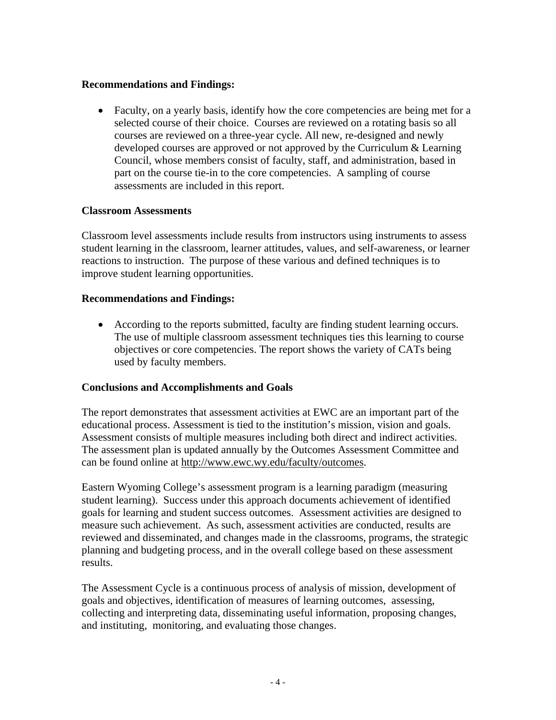## **Recommendations and Findings:**

• Faculty, on a yearly basis, identify how the core competencies are being met for a selected course of their choice. Courses are reviewed on a rotating basis so all courses are reviewed on a three-year cycle. All new, re-designed and newly developed courses are approved or not approved by the Curriculum & Learning Council, whose members consist of faculty, staff, and administration, based in part on the course tie-in to the core competencies. A sampling of course assessments are included in this report.

## **Classroom Assessments**

Classroom level assessments include results from instructors using instruments to assess student learning in the classroom, learner attitudes, values, and self-awareness, or learner reactions to instruction. The purpose of these various and defined techniques is to improve student learning opportunities.

## **Recommendations and Findings:**

• According to the reports submitted, faculty are finding student learning occurs. The use of multiple classroom assessment techniques ties this learning to course objectives or core competencies. The report shows the variety of CATs being used by faculty members.

## **Conclusions and Accomplishments and Goals**

The report demonstrates that assessment activities at EWC are an important part of the educational process. Assessment is tied to the institution's mission, vision and goals. Assessment consists of multiple measures including both direct and indirect activities. The assessment plan is updated annually by the Outcomes Assessment Committee and can be found online at http://www.ewc.wy.edu/faculty/outcomes.

Eastern Wyoming College's assessment program is a learning paradigm (measuring student learning). Success under this approach documents achievement of identified goals for learning and student success outcomes. Assessment activities are designed to measure such achievement. As such, assessment activities are conducted, results are reviewed and disseminated, and changes made in the classrooms, programs, the strategic planning and budgeting process, and in the overall college based on these assessment results.

The Assessment Cycle is a continuous process of analysis of mission, development of goals and objectives, identification of measures of learning outcomes, assessing, collecting and interpreting data, disseminating useful information, proposing changes, and instituting, monitoring, and evaluating those changes.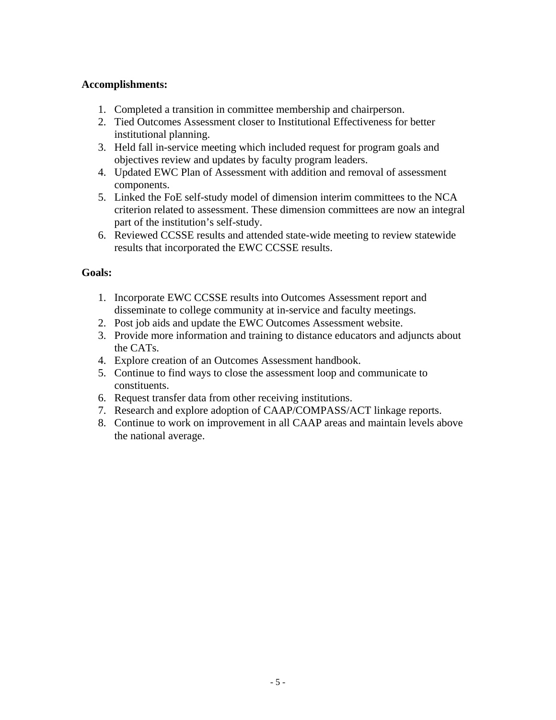## **Accomplishments:**

- 1. Completed a transition in committee membership and chairperson.
- 2. Tied Outcomes Assessment closer to Institutional Effectiveness for better institutional planning.
- 3. Held fall in-service meeting which included request for program goals and objectives review and updates by faculty program leaders.
- 4. Updated EWC Plan of Assessment with addition and removal of assessment components.
- 5. Linked the FoE self-study model of dimension interim committees to the NCA criterion related to assessment. These dimension committees are now an integral part of the institution's self-study.
- 6. Reviewed CCSSE results and attended state-wide meeting to review statewide results that incorporated the EWC CCSSE results.

## **Goals:**

- 1. Incorporate EWC CCSSE results into Outcomes Assessment report and disseminate to college community at in-service and faculty meetings.
- 2. Post job aids and update the EWC Outcomes Assessment website.
- 3. Provide more information and training to distance educators and adjuncts about the CATs.
- 4. Explore creation of an Outcomes Assessment handbook.
- 5. Continue to find ways to close the assessment loop and communicate to constituents.
- 6. Request transfer data from other receiving institutions.
- 7. Research and explore adoption of CAAP/COMPASS/ACT linkage reports.
- 8. Continue to work on improvement in all CAAP areas and maintain levels above the national average.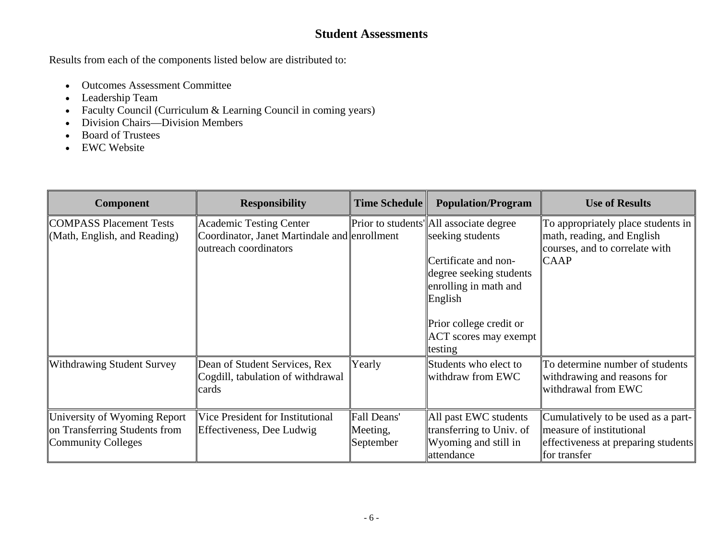## **Student Assessments**

Results from each of the components listed below are distributed to:

- Outcomes Assessment Committee
- Leadership Team
- Faculty Council (Curriculum & Learning Council in coming years)
- Division Chairs—Division Members
- Board of Trustees
- EWC Website

| Component                                                                                  | <b>Responsibility</b>                                                                                   | <b>Time Schedule</b>                 | <b>Population/Program</b>                                                                                                                                                                                                | <b>Use of Results</b>                                                                                                 |
|--------------------------------------------------------------------------------------------|---------------------------------------------------------------------------------------------------------|--------------------------------------|--------------------------------------------------------------------------------------------------------------------------------------------------------------------------------------------------------------------------|-----------------------------------------------------------------------------------------------------------------------|
| <b>COMPASS Placement Tests</b><br>(Math, English, and Reading)                             | <b>Academic Testing Center</b><br>Coordinator, Janet Martindale and enrollment<br>outreach coordinators |                                      | Prior to students' All associate degree<br>seeking students<br>Certificate and non-<br>degree seeking students<br>enrolling in math and<br>English<br>Prior college credit or<br><b>ACT</b> scores may exempt<br>testing | To appropriately place students in<br>math, reading, and English<br>courses, and to correlate with<br><b>CAAP</b>     |
| <b>Withdrawing Student Survey</b>                                                          | Dean of Student Services, Rex<br>Cogdill, tabulation of withdrawal<br>cards                             | Yearly                               | Students who elect to<br>withdraw from EWC                                                                                                                                                                               | To determine number of students<br>withdrawing and reasons for<br>withdrawal from EWC                                 |
| University of Wyoming Report<br>on Transferring Students from<br><b>Community Colleges</b> | Vice President for Institutional<br>Effectiveness, Dee Ludwig                                           | Fall Deans'<br>Meeting,<br>September | All past EWC students<br>transferring to Univ. of<br>Wyoming and still in<br>attendance                                                                                                                                  | Cumulatively to be used as a part-<br>measure of institutional<br>effectiveness at preparing students<br>for transfer |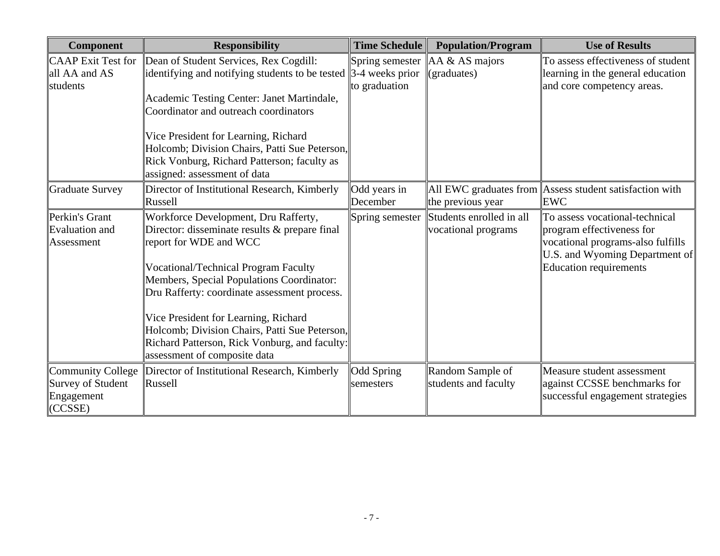| <b>Component</b>                                                              | <b>Responsibility</b>                                                                                                                                                                                                                                                                                                                                                                                                                 | <b>Time Schedule</b>             | <b>Population/Program</b>                               | <b>Use of Results</b>                                                                                                                                               |
|-------------------------------------------------------------------------------|---------------------------------------------------------------------------------------------------------------------------------------------------------------------------------------------------------------------------------------------------------------------------------------------------------------------------------------------------------------------------------------------------------------------------------------|----------------------------------|---------------------------------------------------------|---------------------------------------------------------------------------------------------------------------------------------------------------------------------|
| <b>CAAP</b> Exit Test for<br>all AA and AS<br>students                        | Dean of Student Services, Rex Cogdill:<br>identifying and notifying students to be tested $\parallel$ 3-4 weeks prior<br>Academic Testing Center: Janet Martindale,<br>Coordinator and outreach coordinators<br>Vice President for Learning, Richard<br>Holcomb; Division Chairs, Patti Sue Peterson,<br>Rick Vonburg, Richard Patterson; faculty as<br>assigned: assessment of data                                                  | Spring semester<br>to graduation | $AA & AS \text{ majors}$<br>(graduates)                 | To assess effectiveness of student<br>learning in the general education<br>and core competency areas.                                                               |
| <b>Graduate Survey</b>                                                        | Director of Institutional Research, Kimberly<br>Russell                                                                                                                                                                                                                                                                                                                                                                               | Odd years in<br>December         | All EWC graduates from $\parallel$<br>the previous year | Assess student satisfaction with<br><b>EWC</b>                                                                                                                      |
| Perkin's Grant<br><b>Evaluation and</b><br>Assessment                         | Workforce Development, Dru Rafferty,<br>Director: disseminate results & prepare final<br>report for WDE and WCC<br><b>Vocational/Technical Program Faculty</b><br>Members, Special Populations Coordinator:<br>Dru Rafferty: coordinate assessment process.<br>Vice President for Learning, Richard<br>Holcomb; Division Chairs, Patti Sue Peterson,<br>Richard Patterson, Rick Vonburg, and faculty:<br>assessment of composite data | Spring semester                  | Students enrolled in all<br>vocational programs         | To assess vocational-technical<br>program effectiveness for<br>vocational programs-also fulfills<br>U.S. and Wyoming Department of<br><b>Education requirements</b> |
| <b>Community College</b><br><b>Survey of Student</b><br>Engagement<br>(CCSSE) | Director of Institutional Research, Kimberly<br>Russell                                                                                                                                                                                                                                                                                                                                                                               | Odd Spring<br>semesters          | Random Sample of<br>students and faculty                | Measure student assessment<br>against CCSSE benchmarks for<br>successful engagement strategies                                                                      |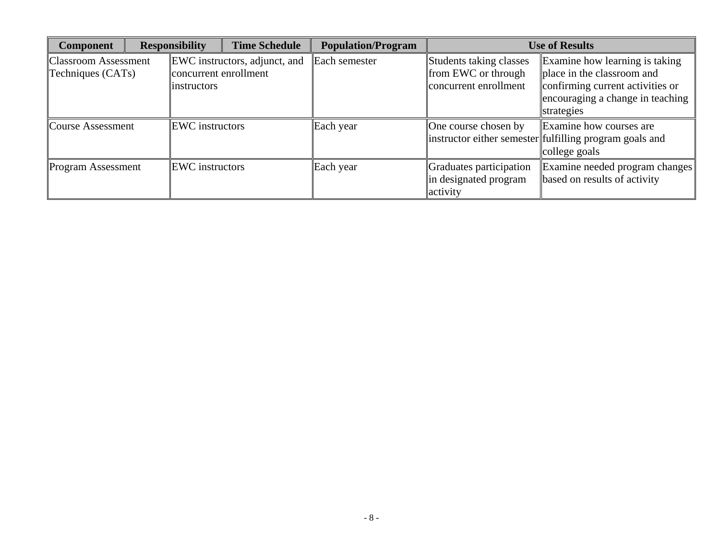| <b>Component</b>                                 | <b>Responsibility</b>                        | <b>Time Schedule</b>                 | <b>Population/Program</b> | <b>Use of Results</b>                                                   |                                                                                                                                                    |  |  |
|--------------------------------------------------|----------------------------------------------|--------------------------------------|---------------------------|-------------------------------------------------------------------------|----------------------------------------------------------------------------------------------------------------------------------------------------|--|--|
| <b>Classroom Assessment</b><br>Techniques (CATs) | concurrent enrollment<br><i>linstructors</i> | <b>EWC</b> instructors, adjunct, and | Each semester             | Students taking classes<br>from EWC or through<br>concurrent enrollment | Examine how learning is taking<br>place in the classroom and<br>confirming current activities or<br>encouraging a change in teaching<br>strategies |  |  |
| <b>Course Assessment</b>                         | <b>EWC</b> instructors                       |                                      | Each year                 | One course chosen by                                                    | Examine how courses are<br>linstructor either semester fulfilling program goals and<br>college goals                                               |  |  |
| <b>Program Assessment</b>                        | <b>EWC</b> instructors                       |                                      | Each year                 | Graduates participation<br>in designated program<br>activity            | Examine needed program changes<br>based on results of activity                                                                                     |  |  |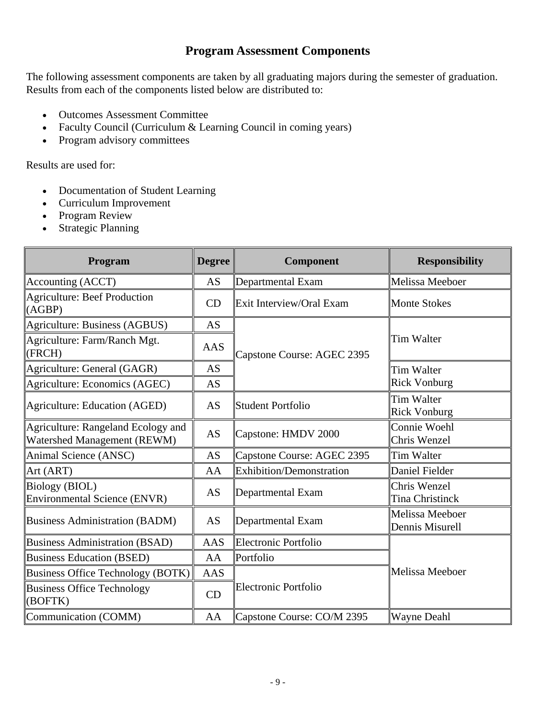## **Program Assessment Components**

The following assessment components are taken by all graduating majors during the semester of graduation. Results from each of the components listed below are distributed to:

- Outcomes Assessment Committee
- Faculty Council (Curriculum & Learning Council in coming years)
- Program advisory committees

Results are used for:

- Documentation of Student Learning
- Curriculum Improvement
- Program Review
- Strategic Planning

| Program                                                           | <b>Degree</b>                         | <b>Component</b>                | <b>Responsibility</b>                  |  |
|-------------------------------------------------------------------|---------------------------------------|---------------------------------|----------------------------------------|--|
| Accounting (ACCT)                                                 | <b>AS</b>                             | Departmental Exam               | Melissa Meeboer                        |  |
| <b>Agriculture: Beef Production</b><br>(AGBP)                     | CD                                    | Exit Interview/Oral Exam        | <b>Monte Stokes</b>                    |  |
| Agriculture: Business (AGBUS)                                     | <b>AS</b>                             |                                 |                                        |  |
| Agriculture: Farm/Ranch Mgt.<br>(FRCH)                            | AAS                                   | Capstone Course: AGEC 2395      | <b>Tim Walter</b>                      |  |
| Agriculture: General (GAGR)                                       | AS                                    |                                 | <b>Tim Walter</b>                      |  |
| Agriculture: Economics (AGEC)                                     | <b>AS</b>                             |                                 | <b>Rick Vonburg</b>                    |  |
| <b>Agriculture: Education (AGED)</b>                              | <b>AS</b><br><b>Student Portfolio</b> |                                 | Tim Walter<br><b>Rick Vonburg</b>      |  |
| Agriculture: Rangeland Ecology and<br>Watershed Management (REWM) | <b>AS</b>                             | Capstone: HMDV 2000             | Connie Woehl<br>Chris Wenzel           |  |
| Animal Science (ANSC)                                             | AS                                    | Capstone Course: AGEC 2395      | <b>Tim Walter</b>                      |  |
| Art (ART)                                                         | AA                                    | <b>Exhibition/Demonstration</b> | Daniel Fielder                         |  |
| <b>Biology (BIOL)</b><br><b>Environmental Science (ENVR)</b>      | <b>AS</b>                             | Departmental Exam               | Chris Wenzel<br><b>Tina Christinck</b> |  |
| <b>Business Administration (BADM)</b>                             | <b>AS</b>                             | Departmental Exam               | Melissa Meeboer<br>Dennis Misurell     |  |
| <b>Business Administration (BSAD)</b>                             | <b>AAS</b>                            | Electronic Portfolio            |                                        |  |
| <b>Business Education (BSED)</b>                                  | AA                                    | Portfolio                       |                                        |  |
| <b>Business Office Technology (BOTK)</b>                          | <b>AAS</b>                            |                                 | Melissa Meeboer                        |  |
| <b>Business Office Technology</b><br>(BOFTK)                      | CD                                    | Electronic Portfolio            |                                        |  |
| Communication (COMM)                                              | AA                                    | Capstone Course: CO/M 2395      | <b>Wayne Deahl</b>                     |  |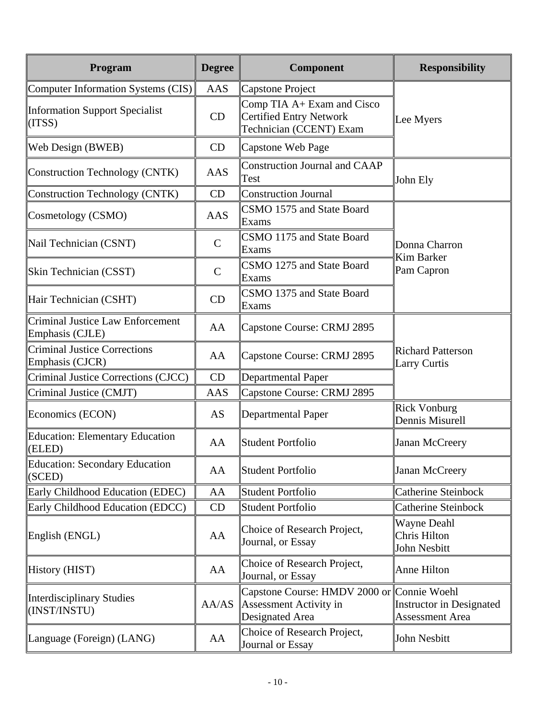| Program                                                    | <b>Degree</b> | Component                                                                               | <b>Responsibility</b>                                     |  |
|------------------------------------------------------------|---------------|-----------------------------------------------------------------------------------------|-----------------------------------------------------------|--|
| Computer Information Systems (CIS)                         | AAS           | Capstone Project                                                                        |                                                           |  |
| <b>Information Support Specialist</b><br>(ITSS)            | CD            | Comp TIA A+ Exam and Cisco<br>Certified Entry Network<br>Technician (CCENT) Exam        | Lee Myers                                                 |  |
| Web Design (BWEB)                                          | CD            | Capstone Web Page                                                                       |                                                           |  |
| Construction Technology (CNTK)                             | <b>AAS</b>    | Construction Journal and CAAP<br>Test                                                   | John Ely                                                  |  |
| <b>Construction Technology (CNTK)</b>                      | CD            | Construction Journal                                                                    |                                                           |  |
| Cosmetology (CSMO)                                         | <b>AAS</b>    | CSMO 1575 and State Board<br>Exams                                                      |                                                           |  |
| Nail Technician (CSNT)                                     | $\mathbf C$   | CSMO 1175 and State Board<br>Exams                                                      | Donna Charron<br><b>Kim Barker</b>                        |  |
| Skin Technician (CSST)                                     | $\mathbf C$   | CSMO 1275 and State Board<br>Exams                                                      | Pam Capron                                                |  |
| Hair Technician (CSHT)                                     | CD            | CSMO 1375 and State Board<br>Exams                                                      |                                                           |  |
| <b>Criminal Justice Law Enforcement</b><br>Emphasis (CJLE) | AA            | Capstone Course: CRMJ 2895                                                              | <b>Richard Patterson</b><br><b>Larry Curtis</b>           |  |
| <b>Criminal Justice Corrections</b><br>Emphasis (CJCR)     | AA            | Capstone Course: CRMJ 2895                                                              |                                                           |  |
| Criminal Justice Corrections (CJCC)                        | CD            | Departmental Paper                                                                      |                                                           |  |
| Criminal Justice (CMJT)                                    | AAS           | Capstone Course: CRMJ 2895                                                              |                                                           |  |
| Economics (ECON)                                           | AS            | Departmental Paper                                                                      | <b>Rick Vonburg</b><br>Dennis Misurell                    |  |
| <b>Education: Elementary Education</b><br>(ELED)           | AA            | Student Portfolio                                                                       | Janan McCreery                                            |  |
| <b>Education: Secondary Education</b><br>(SCED)            | AA            | Student Portfolio                                                                       | Janan McCreery                                            |  |
| Early Childhood Education (EDEC)                           | AA            | Student Portfolio                                                                       | <b>Catherine Steinbock</b>                                |  |
| Early Childhood Education (EDCC)                           | CD            | <b>Student Portfolio</b>                                                                | <b>Catherine Steinbock</b>                                |  |
| English (ENGL)                                             | AA            | Choice of Research Project,<br>Journal, or Essay                                        | <b>Wayne Deahl</b><br>Chris Hilton<br>John Nesbitt        |  |
| History (HIST)                                             | AA            | Choice of Research Project,<br>Journal, or Essay                                        | Anne Hilton                                               |  |
| <b>Interdisciplinary Studies</b><br>(INST/INSTU)           | AA/AS         | Capstone Course: HMDV 2000 or Connie Woehl<br>Assessment Activity in<br>Designated Area | <b>Instructor in Designated</b><br><b>Assessment Area</b> |  |
| Language (Foreign) (LANG)                                  | AA            | Choice of Research Project,<br>Journal or Essay                                         | John Nesbitt                                              |  |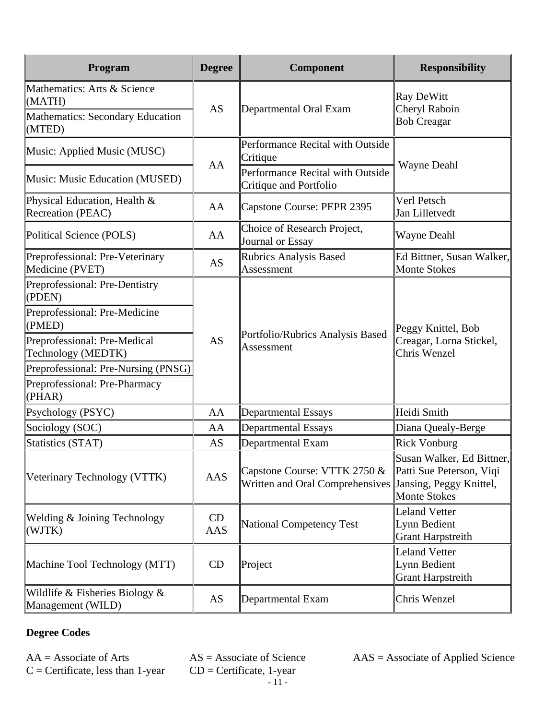| Program                                                                                    | <b>Degree</b> | Component                                                       | <b>Responsibility</b>                                                                                   |  |
|--------------------------------------------------------------------------------------------|---------------|-----------------------------------------------------------------|---------------------------------------------------------------------------------------------------------|--|
| Mathematics: Arts & Science<br>(MATH)<br><b>Mathematics: Secondary Education</b><br>(MTED) | <b>AS</b>     | Departmental Oral Exam                                          | Ray DeWitt<br>Cheryl Raboin<br><b>Bob Creagar</b>                                                       |  |
| Music: Applied Music (MUSC)                                                                | AA            | Performance Recital with Outside<br>Critique                    |                                                                                                         |  |
| Music: Music Education (MUSED)                                                             |               | Performance Recital with Outside<br>Critique and Portfolio      | Wayne Deahl                                                                                             |  |
| Physical Education, Health &<br>Recreation (PEAC)                                          | AA            | Capstone Course: PEPR 2395                                      | Verl Petsch<br>Jan Lilletvedt                                                                           |  |
| Political Science (POLS)                                                                   | AA            | Choice of Research Project,<br>Journal or Essay                 | <b>Wayne Deahl</b>                                                                                      |  |
| Preprofessional: Pre-Veterinary<br>Medicine (PVET)                                         | <b>AS</b>     | <b>Rubrics Analysis Based</b><br>Assessment                     | Ed Bittner, Susan Walker,<br><b>Monte Stokes</b>                                                        |  |
| Preprofessional: Pre-Dentistry<br>(PDEN)                                                   |               |                                                                 |                                                                                                         |  |
| Preprofessional: Pre-Medicine<br>(PMED)                                                    |               |                                                                 | Peggy Knittel, Bob<br>Creagar, Lorna Stickel,<br>Chris Wenzel                                           |  |
| Preprofessional: Pre-Medical<br>Technology (MEDTK)                                         | AS            | Portfolio/Rubrics Analysis Based<br>Assessment                  |                                                                                                         |  |
| Preprofessional: Pre-Nursing (PNSG)                                                        |               |                                                                 |                                                                                                         |  |
| Preprofessional: Pre-Pharmacy<br>(PHAR)                                                    |               |                                                                 |                                                                                                         |  |
| Psychology (PSYC)                                                                          | AA            | <b>Departmental Essays</b>                                      | Heidi Smith                                                                                             |  |
| Sociology (SOC)                                                                            | AA            | <b>Departmental Essays</b>                                      | Diana Quealy-Berge                                                                                      |  |
| <b>Statistics (STAT)</b>                                                                   | AS            | Departmental Exam                                               | <b>Rick Vonburg</b>                                                                                     |  |
| Veterinary Technology (VTTK)                                                               | AAS           | Capstone Course: VTTK 2750 &<br>Written and Oral Comprehensives | Susan Walker, Ed Bittner,<br>Patti Sue Peterson, Viqi<br>Jansing, Peggy Knittel,<br><b>Monte Stokes</b> |  |
| Welding & Joining Technology<br>(WJTK)                                                     | CD<br>AAS     | National Competency Test                                        | <b>Leland Vetter</b><br>Lynn Bedient<br><b>Grant Harpstreith</b>                                        |  |
| Machine Tool Technology (MTT)                                                              | CD            | Project                                                         | <b>Leland Vetter</b><br>Lynn Bedient<br><b>Grant Harpstreith</b>                                        |  |
| Wildlife $&$ Fisheries Biology $&$<br>Management (WILD)                                    | AS            | Departmental Exam                                               | Chris Wenzel                                                                                            |  |

## **Degree Codes**

 $C =$  Certificate, less than 1-year

 $CD =$  Certificate, 1-year - 11 -

 $AA =$  Associate of Arts  $AS =$  Associate of Science  $AAS =$  Associate of Applied Science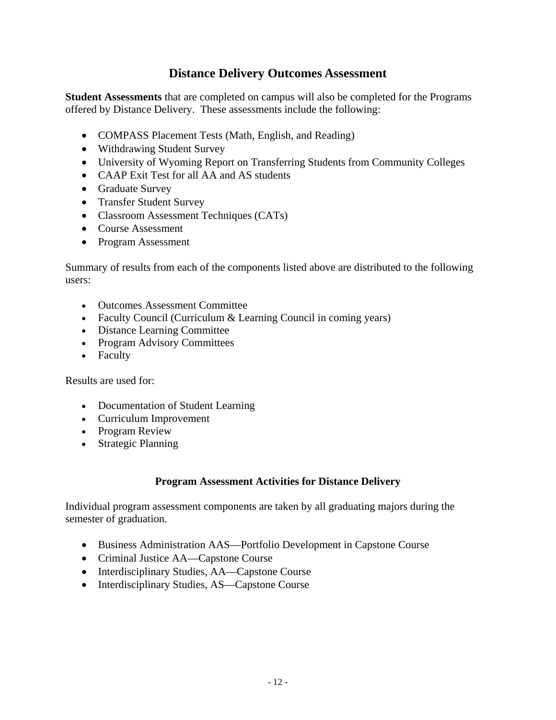## **Distance Delivery Outcomes Assessment**

**Student Assessments** that are completed on campus will also be completed for the Programs offered by Distance Delivery. These assessments include the following:

- COMPASS Placement Tests (Math, English, and Reading)
- Withdrawing Student Survey
- University of Wyoming Report on Transferring Students from Community Colleges
- CAAP Exit Test for all AA and AS students
- Graduate Survey
- Transfer Student Survey
- Classroom Assessment Techniques (CATs)
- Course Assessment
- Program Assessment

Summary of results from each of the components listed above are distributed to the following users:

- Outcomes Assessment Committee
- Faculty Council (Curriculum & Learning Council in coming years)
- Distance Learning Committee
- Program Advisory Committees
- Faculty

Results are used for:

- Documentation of Student Learning
- Curriculum Improvement
- Program Review
- Strategic Planning

### **Program Assessment Activities for Distance Delivery**

Individual program assessment components are taken by all graduating majors during the semester of graduation.

- Business Administration AAS—Portfolio Development in Capstone Course
- Criminal Justice AA—Capstone Course
- Interdisciplinary Studies, AA—Capstone Course
- Interdisciplinary Studies, AS—Capstone Course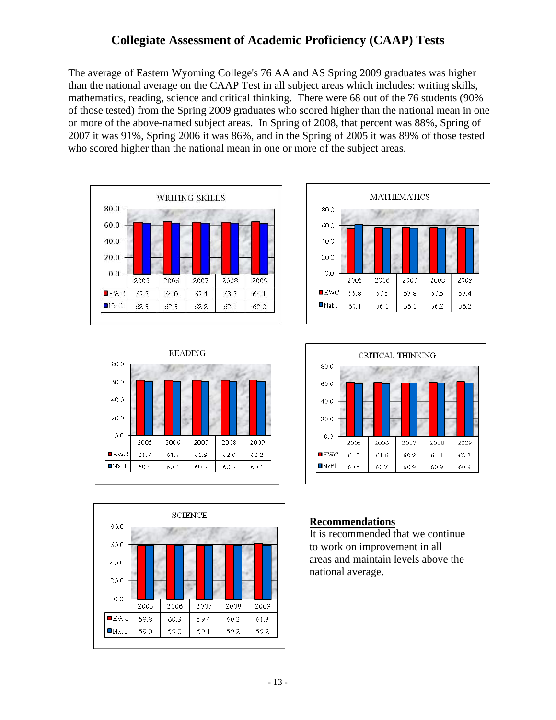## **Collegiate Assessment of Academic Proficiency (CAAP) Tests**

The average of Eastern Wyoming College's 76 AA and AS Spring 2009 graduates was higher than the national average on the CAAP Test in all subject areas which includes: writing skills, mathematics, reading, science and critical thinking. There were 68 out of the 76 students (90% of those tested) from the Spring 2009 graduates who scored higher than the national mean in one or more of the above-named subject areas. In Spring of 2008, that percent was 88%, Spring of 2007 it was 91%, Spring 2006 it was 86%, and in the Spring of 2005 it was 89% of those tested who scored higher than the national mean in one or more of the subject areas.











### **Recommendations**

It is recommended that we continue to work on improvement in all areas and maintain levels above the national average.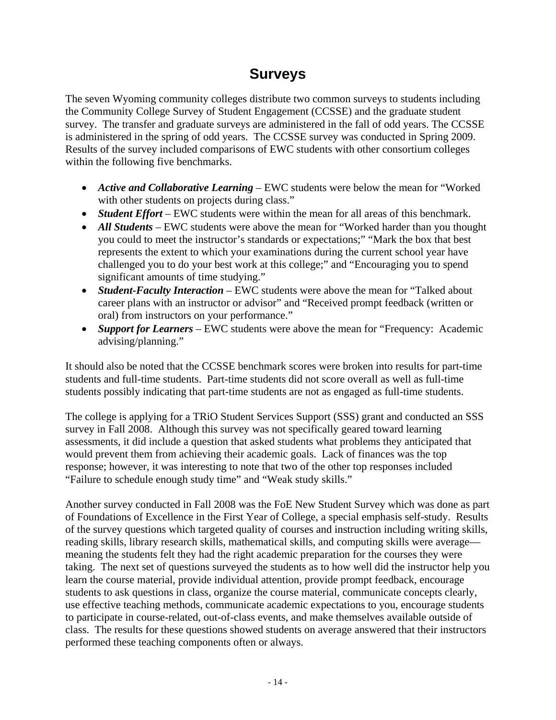## **Surveys**

The seven Wyoming community colleges distribute two common surveys to students including the Community College Survey of Student Engagement (CCSSE) and the graduate student survey. The transfer and graduate surveys are administered in the fall of odd years. The CCSSE is administered in the spring of odd years. The CCSSE survey was conducted in Spring 2009. Results of the survey included comparisons of EWC students with other consortium colleges within the following five benchmarks.

- *Active and Collaborative Learning* EWC students were below the mean for "Worked with other students on projects during class."
- *Student Effort* EWC students were within the mean for all areas of this benchmark.
- *All Students* EWC students were above the mean for "Worked harder than you thought you could to meet the instructor's standards or expectations;" "Mark the box that best represents the extent to which your examinations during the current school year have challenged you to do your best work at this college;" and "Encouraging you to spend significant amounts of time studying."
- *Student-Faculty Interaction* EWC students were above the mean for "Talked about career plans with an instructor or advisor" and "Received prompt feedback (written or oral) from instructors on your performance."
- *Support for Learners* EWC students were above the mean for "Frequency: Academic advising/planning."

It should also be noted that the CCSSE benchmark scores were broken into results for part-time students and full-time students. Part-time students did not score overall as well as full-time students possibly indicating that part-time students are not as engaged as full-time students.

The college is applying for a TRiO Student Services Support (SSS) grant and conducted an SSS survey in Fall 2008. Although this survey was not specifically geared toward learning assessments, it did include a question that asked students what problems they anticipated that would prevent them from achieving their academic goals. Lack of finances was the top response; however, it was interesting to note that two of the other top responses included "Failure to schedule enough study time" and "Weak study skills."

Another survey conducted in Fall 2008 was the FoE New Student Survey which was done as part of Foundations of Excellence in the First Year of College, a special emphasis self-study. Results of the survey questions which targeted quality of courses and instruction including writing skills, reading skills, library research skills, mathematical skills, and computing skills were average meaning the students felt they had the right academic preparation for the courses they were taking. The next set of questions surveyed the students as to how well did the instructor help you learn the course material, provide individual attention, provide prompt feedback, encourage students to ask questions in class, organize the course material, communicate concepts clearly, use effective teaching methods, communicate academic expectations to you, encourage students to participate in course-related, out-of-class events, and make themselves available outside of class. The results for these questions showed students on average answered that their instructors performed these teaching components often or always.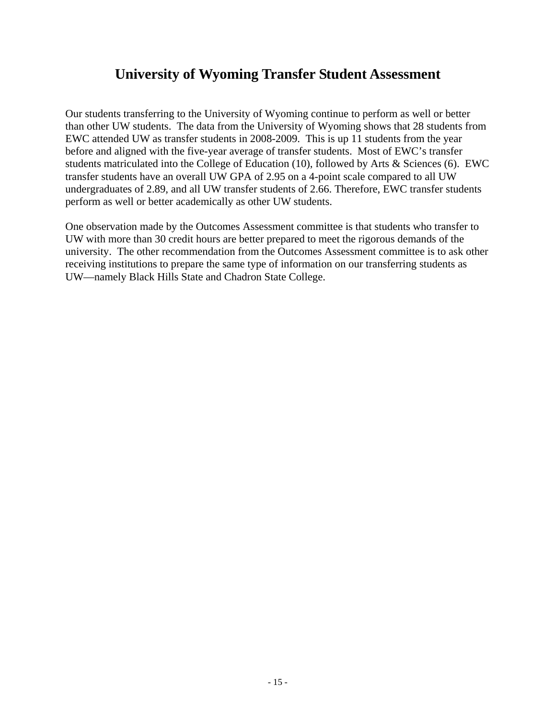## **University of Wyoming Transfer Student Assessment**

Our students transferring to the University of Wyoming continue to perform as well or better than other UW students. The data from the University of Wyoming shows that 28 students from EWC attended UW as transfer students in 2008-2009. This is up 11 students from the year before and aligned with the five-year average of transfer students. Most of EWC's transfer students matriculated into the College of Education (10), followed by Arts & Sciences (6). EWC transfer students have an overall UW GPA of 2.95 on a 4-point scale compared to all UW undergraduates of 2.89, and all UW transfer students of 2.66. Therefore, EWC transfer students perform as well or better academically as other UW students.

One observation made by the Outcomes Assessment committee is that students who transfer to UW with more than 30 credit hours are better prepared to meet the rigorous demands of the university. The other recommendation from the Outcomes Assessment committee is to ask other receiving institutions to prepare the same type of information on our transferring students as UW—namely Black Hills State and Chadron State College.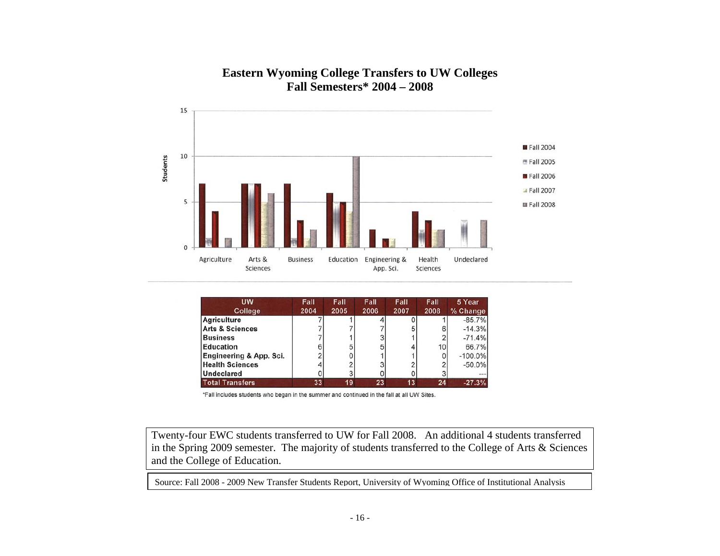

## **Eastern Wyoming College Transfers to UW Colleges Fall Semesters\* 2004 – 2008**

| <b>UW</b>                  | Fall | Fall | Fall | Fall | Fall            | 5 Year     |
|----------------------------|------|------|------|------|-----------------|------------|
| College                    | 2004 | 2005 | 2006 | 2007 | 2008            | % Change   |
| Agriculture                |      |      |      |      |                 | $-85.7%$   |
| <b>Arts &amp; Sciences</b> |      |      |      | 5    |                 | $-14.3%$   |
| <b>Business</b>            |      |      |      |      |                 | $-71.4%$   |
| <b>Education</b>           | 6    |      | 5    |      | 10 <sub>1</sub> | 66.7%      |
| Engineering & App. Sci.    |      |      |      |      |                 | $-100.0\%$ |
| <b>Health Sciences</b>     |      |      |      |      |                 | $-50.0%$   |
| <b>Undeclared</b>          |      |      |      |      |                 | --         |
| <b>Total Transfers</b>     | 33   | 19   | 23   | 13   | 24              | $-27.3%$   |

\*Fall includes students who began in the summer and continued in the fall at all UW Sites.

Twenty-four EWC students transferred to UW for Fall 2008. An additional 4 students transferred in the Spring 2009 semester. The majority of students transferred to the College of Arts & Sciences and the College of Education.

Source: Fall 2008 - 2009 New Transfer Students Report, University of Wyoming Office of Institutional Analysis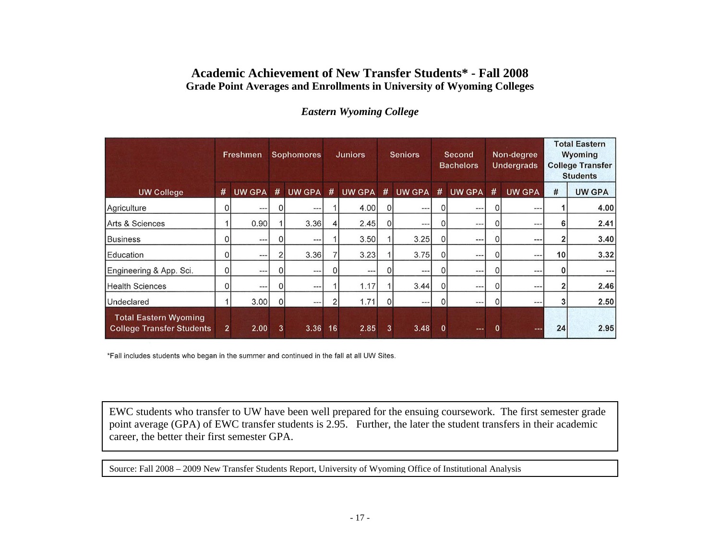## **Academic Achievement of New Transfer Students\* - Fall 2008 Grade Point Averages and Enrollments in University of Wyoming Colleges**

|                                                                  | Freshmen       |               |          |               |    |               |          |               |              |               | <b>Sophomores</b><br><b>Juniors</b> |               | <b>Seniors</b> |               | Second<br><b>Bachelors</b> |  | Non-degree<br><b>Undergrads</b> |  | <b>Total Eastern</b><br>Wyoming<br><b>College Transfer</b><br><b>Students</b> |  |
|------------------------------------------------------------------|----------------|---------------|----------|---------------|----|---------------|----------|---------------|--------------|---------------|-------------------------------------|---------------|----------------|---------------|----------------------------|--|---------------------------------|--|-------------------------------------------------------------------------------|--|
| <b>UW College</b>                                                | #              | <b>UW GPA</b> | #        | <b>UW GPA</b> | #  | <b>UW GPA</b> | #        | <b>UW GPA</b> | #            | <b>UW GPA</b> | #                                   | <b>UW GPA</b> | $\#$           | <b>UW GPA</b> |                            |  |                                 |  |                                                                               |  |
| Agriculture                                                      | $\Omega$       | $\cdots$      | $\Omega$ | ---           |    | 4.00          | $\Omega$ | $---$         | $\Omega$     | $---$         | 0                                   | $-- -$        |                | 4.00          |                            |  |                                 |  |                                                                               |  |
| Arts & Sciences                                                  |                | 0.90          |          | 3.36          | 4  | 2.45          | 0        | $---$         | $\Omega$     | $\cdots$      | 0                                   | $---$         | 6              | 2.41          |                            |  |                                 |  |                                                                               |  |
| Business                                                         |                | ---           | $\Omega$ | ---           |    | 3.50          |          | 3.25          | $\Omega$     | ---           | 0                                   | ---           |                | 3.40          |                            |  |                                 |  |                                                                               |  |
| Education                                                        | $\Omega$       | ---           |          | 3.36          |    | 3.23          |          | 3.75          | $\Omega$     | $---$         | 0                                   | $--$          | 10             | 3.32          |                            |  |                                 |  |                                                                               |  |
| Engineering & App. Sci.                                          | 0              | $\cdots$      | 0        | $\cdots$      | 0  | $\cdots$      | 01       | $\cdots$      | $\mathbf{0}$ | $\cdots$      | 0                                   | $-- -$        |                | $---$         |                            |  |                                 |  |                                                                               |  |
| <b>Health Sciences</b>                                           | 0              | ---           | $\Omega$ | $---$         |    | 1.17          |          | 3.44          | $\Omega$     | $\cdots$      | 0                                   | $---$         |                | 2.46          |                            |  |                                 |  |                                                                               |  |
| Undeclared                                                       |                | 3.00          | $\Omega$ | $--$          | 2  | 1.71          | $\Omega$ | $\cdots$      | $\Omega$     | $\cdots$      | 0                                   | $---$         |                | 2.50          |                            |  |                                 |  |                                                                               |  |
| <b>Total Eastern Wyoming</b><br><b>College Transfer Students</b> | $\overline{2}$ | 2.00          | 3        | 3.36          | 16 | 2.85          | 3        | 3.48          | $\mathbf{0}$ | $\cdots$      | $\bf{0}$                            | $- -$         | 24             | 2.95          |                            |  |                                 |  |                                                                               |  |

## *Eastern Wyoming College*

\*Fall includes students who began in the summer and continued in the fall at all UW Sites.

EWC students who transfer to UW have been well prepared for the ensuing coursework. The first semester grade point average (GPA) of EWC transfer students is 2.95. Further, the later the student transfers in their academic career, the better their first semester GPA.

Source: Fall 2008 – 2009 New Transfer Students Report, University of Wyoming Office of Institutional Analysis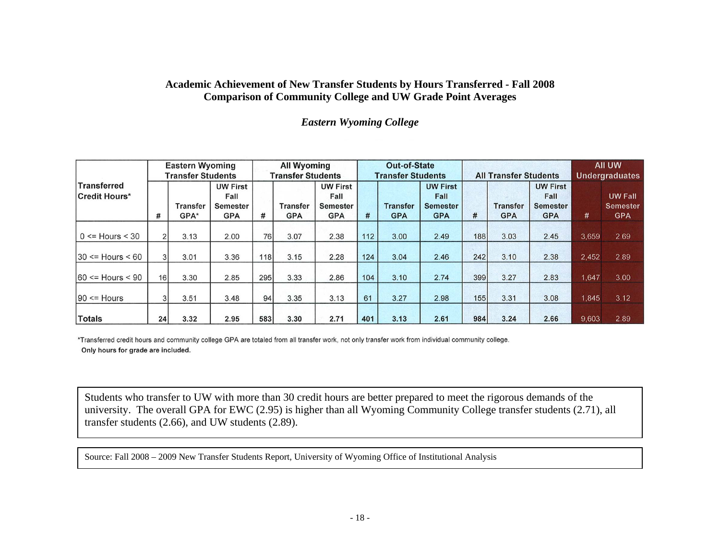## **Academic Achievement of New Transfer Students by Hours Transferred - Fall 2008 Comparison of Community College and UW Grade Point Averages**

#### *Eastern Wyoming College*

|                              | <b>Eastern Wyoming</b><br><b>Transfer Students</b> |                  |                                                          | <b>All Wyoming</b><br><b>Transfer Students</b> |                               |                                                   | <b>Out-of-State</b><br><b>Transfer Students</b> |                               |                                                          | <b>All Transfer Students</b> |                               |                                                          | All UW<br><b>Undergraduates</b> |                                                 |
|------------------------------|----------------------------------------------------|------------------|----------------------------------------------------------|------------------------------------------------|-------------------------------|---------------------------------------------------|-------------------------------------------------|-------------------------------|----------------------------------------------------------|------------------------------|-------------------------------|----------------------------------------------------------|---------------------------------|-------------------------------------------------|
| Transferred<br>Credit Hours* | #                                                  | Transfer<br>GPA* | <b>UW First</b><br>Fall<br><b>Semester</b><br><b>GPA</b> | #                                              | <b>Transfer</b><br><b>GPA</b> | <b>UW First</b><br>Fall<br>Semester<br><b>GPA</b> | #                                               | <b>Transfer</b><br><b>GPA</b> | <b>UW First</b><br>Fall<br><b>Semester</b><br><b>GPA</b> | #                            | <b>Transfer</b><br><b>GPA</b> | <b>UW First</b><br>Fall<br><b>Semester</b><br><b>GPA</b> | #                               | <b>UW Fall</b><br><b>Semester</b><br><b>GPA</b> |
| $0 \leq Hours \leq 30$       |                                                    | 3.13             | 2.00                                                     | 76                                             | 3.07                          | 2.38                                              | 112                                             | 3.00                          | 2.49                                                     | 188                          | 3.03                          | 2.45                                                     | 3.659                           | 2.69                                            |
| $30 \leq Hours \leq 60$      | $\overline{3}$                                     | 3.01             | 3.36                                                     | 118                                            | 3.15                          | 2.28                                              | 124                                             | 3.04                          | 2.46                                                     | 242                          | 3.10                          | 2.38                                                     | 2.452                           | 2.89                                            |
| $ 60 \leq Hours \leq 90$     | 16                                                 | 3.30             | 2.85                                                     | 295                                            | 3.33                          | 2.86                                              | 104                                             | 3.10                          | 2.74                                                     | 399                          | 3.27                          | 2.83                                                     | 1.647                           | 3.00                                            |
| $ 90 \leq Hours$             |                                                    | 3.51             | 3.48                                                     | 94                                             | 3.35                          | 3.13                                              | 61                                              | 3.27                          | 2.98                                                     | 155                          | 3.31                          | 3.08                                                     | 1,845                           | 3.12                                            |
| Totals                       | 24                                                 | 3.32             | 2.95                                                     | 583                                            | 3.30                          | 2.71                                              | 401                                             | 3.13                          | 2.61                                                     | 984                          | 3.24                          | 2.66                                                     | 9,603                           | 2.89                                            |

\*Transferred credit hours and community college GPA are totaled from all transfer work, not only transfer work from individual community college. Only hours for grade are included.

Students who transfer to UW with more than 30 credit hours are better prepared to meet the rigorous demands of the university. The overall GPA for EWC (2.95) is higher than all Wyoming Community College transfer students (2.71), all transfer students (2.66), and UW students (2.89).

Source: Fall 2008 – 2009 New Transfer Students Report, University of Wyoming Office of Institutional Analysis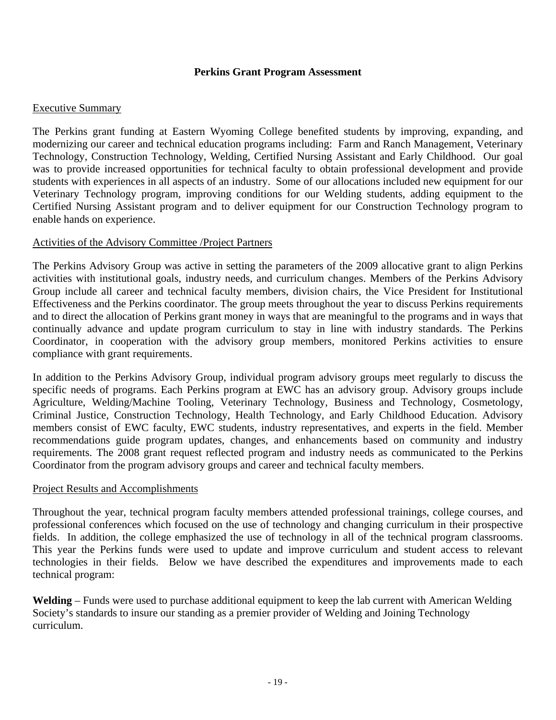## **Perkins Grant Program Assessment**

## Executive Summary

The Perkins grant funding at Eastern Wyoming College benefited students by improving, expanding, and modernizing our career and technical education programs including: Farm and Ranch Management, Veterinary Technology, Construction Technology, Welding, Certified Nursing Assistant and Early Childhood. Our goal was to provide increased opportunities for technical faculty to obtain professional development and provide students with experiences in all aspects of an industry. Some of our allocations included new equipment for our Veterinary Technology program, improving conditions for our Welding students, adding equipment to the Certified Nursing Assistant program and to deliver equipment for our Construction Technology program to enable hands on experience.

## Activities of the Advisory Committee /Project Partners

The Perkins Advisory Group was active in setting the parameters of the 2009 allocative grant to align Perkins activities with institutional goals, industry needs, and curriculum changes. Members of the Perkins Advisory Group include all career and technical faculty members, division chairs, the Vice President for Institutional Effectiveness and the Perkins coordinator. The group meets throughout the year to discuss Perkins requirements and to direct the allocation of Perkins grant money in ways that are meaningful to the programs and in ways that continually advance and update program curriculum to stay in line with industry standards. The Perkins Coordinator, in cooperation with the advisory group members, monitored Perkins activities to ensure compliance with grant requirements.

In addition to the Perkins Advisory Group, individual program advisory groups meet regularly to discuss the specific needs of programs. Each Perkins program at EWC has an advisory group. Advisory groups include Agriculture, Welding/Machine Tooling, Veterinary Technology, Business and Technology, Cosmetology, Criminal Justice, Construction Technology, Health Technology, and Early Childhood Education. Advisory members consist of EWC faculty, EWC students, industry representatives, and experts in the field. Member recommendations guide program updates, changes, and enhancements based on community and industry requirements. The 2008 grant request reflected program and industry needs as communicated to the Perkins Coordinator from the program advisory groups and career and technical faculty members.

### Project Results and Accomplishments

Throughout the year, technical program faculty members attended professional trainings, college courses, and professional conferences which focused on the use of technology and changing curriculum in their prospective fields. In addition, the college emphasized the use of technology in all of the technical program classrooms. This year the Perkins funds were used to update and improve curriculum and student access to relevant technologies in their fields. Below we have described the expenditures and improvements made to each technical program:

**Welding** – Funds were used to purchase additional equipment to keep the lab current with American Welding Society's standards to insure our standing as a premier provider of Welding and Joining Technology curriculum.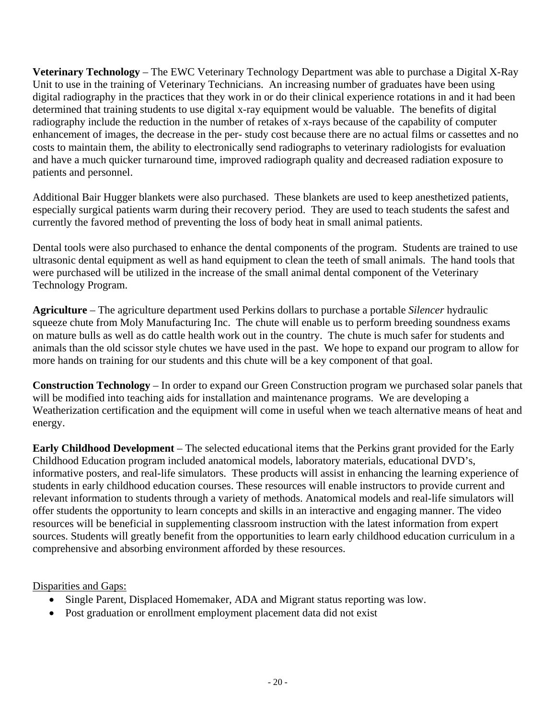**Veterinary Technology** – The EWC Veterinary Technology Department was able to purchase a Digital X-Ray Unit to use in the training of Veterinary Technicians. An increasing number of graduates have been using digital radiography in the practices that they work in or do their clinical experience rotations in and it had been determined that training students to use digital x-ray equipment would be valuable. The benefits of digital radiography include the reduction in the number of retakes of x-rays because of the capability of computer enhancement of images, the decrease in the per- study cost because there are no actual films or cassettes and no costs to maintain them, the ability to electronically send radiographs to veterinary radiologists for evaluation and have a much quicker turnaround time, improved radiograph quality and decreased radiation exposure to patients and personnel.

Additional Bair Hugger blankets were also purchased. These blankets are used to keep anesthetized patients, especially surgical patients warm during their recovery period. They are used to teach students the safest and currently the favored method of preventing the loss of body heat in small animal patients.

Dental tools were also purchased to enhance the dental components of the program. Students are trained to use ultrasonic dental equipment as well as hand equipment to clean the teeth of small animals. The hand tools that were purchased will be utilized in the increase of the small animal dental component of the Veterinary Technology Program.

**Agriculture** – The agriculture department used Perkins dollars to purchase a portable *Silencer* hydraulic squeeze chute from Moly Manufacturing Inc. The chute will enable us to perform breeding soundness exams on mature bulls as well as do cattle health work out in the country. The chute is much safer for students and animals than the old scissor style chutes we have used in the past. We hope to expand our program to allow for more hands on training for our students and this chute will be a key component of that goal.

**Construction Technology** – In order to expand our Green Construction program we purchased solar panels that will be modified into teaching aids for installation and maintenance programs. We are developing a Weatherization certification and the equipment will come in useful when we teach alternative means of heat and energy.

**Early Childhood Development** – The selected educational items that the Perkins grant provided for the Early Childhood Education program included anatomical models, laboratory materials, educational DVD's, informative posters, and real-life simulators. These products will assist in enhancing the learning experience of students in early childhood education courses. These resources will enable instructors to provide current and relevant information to students through a variety of methods. Anatomical models and real-life simulators will offer students the opportunity to learn concepts and skills in an interactive and engaging manner. The video resources will be beneficial in supplementing classroom instruction with the latest information from expert sources. Students will greatly benefit from the opportunities to learn early childhood education curriculum in a comprehensive and absorbing environment afforded by these resources.

Disparities and Gaps:

- Single Parent, Displaced Homemaker, ADA and Migrant status reporting was low.
- Post graduation or enrollment employment placement data did not exist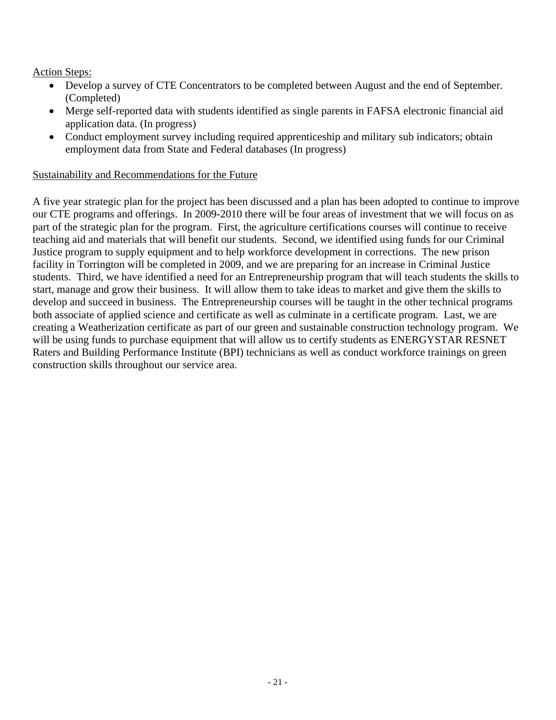Action Steps:

- Develop a survey of CTE Concentrators to be completed between August and the end of September. (Completed)
- Merge self-reported data with students identified as single parents in FAFSA electronic financial aid application data. (In progress)
- Conduct employment survey including required apprenticeship and military sub indicators; obtain employment data from State and Federal databases (In progress)

## Sustainability and Recommendations for the Future

A five year strategic plan for the project has been discussed and a plan has been adopted to continue to improve our CTE programs and offerings. In 2009-2010 there will be four areas of investment that we will focus on as part of the strategic plan for the program. First, the agriculture certifications courses will continue to receive teaching aid and materials that will benefit our students. Second, we identified using funds for our Criminal Justice program to supply equipment and to help workforce development in corrections. The new prison facility in Torrington will be completed in 2009, and we are preparing for an increase in Criminal Justice students. Third, we have identified a need for an Entrepreneurship program that will teach students the skills to start, manage and grow their business. It will allow them to take ideas to market and give them the skills to develop and succeed in business. The Entrepreneurship courses will be taught in the other technical programs both associate of applied science and certificate as well as culminate in a certificate program. Last, we are creating a Weatherization certificate as part of our green and sustainable construction technology program. We will be using funds to purchase equipment that will allow us to certify students as ENERGYSTAR RESNET Raters and Building Performance Institute (BPI) technicians as well as conduct workforce trainings on green construction skills throughout our service area.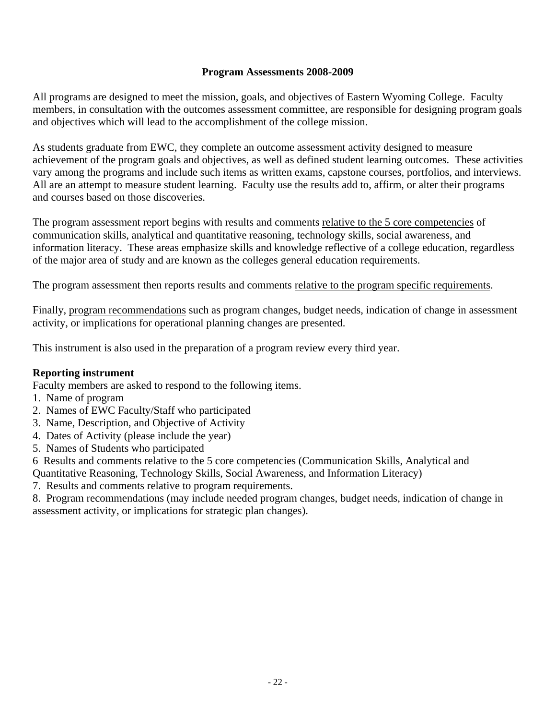## **Program Assessments 2008-2009**

All programs are designed to meet the mission, goals, and objectives of Eastern Wyoming College. Faculty members, in consultation with the outcomes assessment committee, are responsible for designing program goals and objectives which will lead to the accomplishment of the college mission.

As students graduate from EWC, they complete an outcome assessment activity designed to measure achievement of the program goals and objectives, as well as defined student learning outcomes. These activities vary among the programs and include such items as written exams, capstone courses, portfolios, and interviews. All are an attempt to measure student learning. Faculty use the results add to, affirm, or alter their programs and courses based on those discoveries.

The program assessment report begins with results and comments relative to the 5 core competencies of communication skills, analytical and quantitative reasoning, technology skills, social awareness, and information literacy. These areas emphasize skills and knowledge reflective of a college education, regardless of the major area of study and are known as the colleges general education requirements.

The program assessment then reports results and comments relative to the program specific requirements.

Finally, program recommendations such as program changes, budget needs, indication of change in assessment activity, or implications for operational planning changes are presented.

This instrument is also used in the preparation of a program review every third year.

### **Reporting instrument**

Faculty members are asked to respond to the following items.

- 1. Name of program
- 2. Names of EWC Faculty/Staff who participated
- 3. Name, Description, and Objective of Activity
- 4. Dates of Activity (please include the year)
- 5. Names of Students who participated
- 6 Results and comments relative to the 5 core competencies (Communication Skills, Analytical and Quantitative Reasoning, Technology Skills, Social Awareness, and Information Literacy)
- 7. Results and comments relative to program requirements.

8. Program recommendations (may include needed program changes, budget needs, indication of change in assessment activity, or implications for strategic plan changes).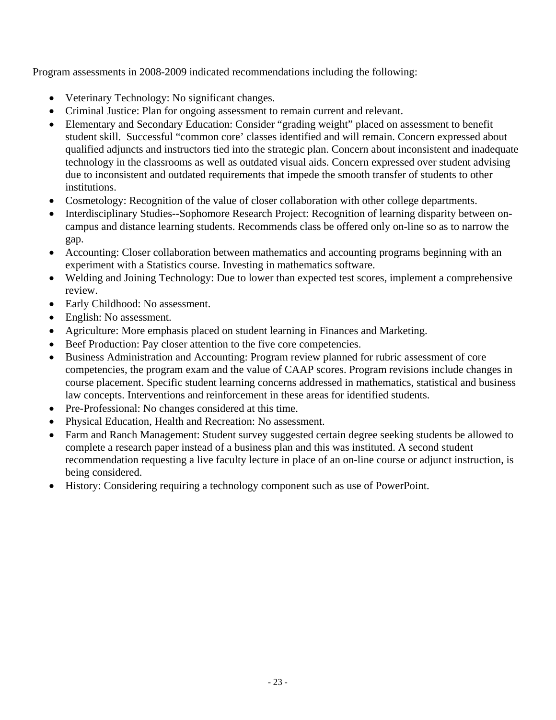Program assessments in 2008-2009 indicated recommendations including the following:

- Veterinary Technology: No significant changes.
- Criminal Justice: Plan for ongoing assessment to remain current and relevant.
- Elementary and Secondary Education: Consider "grading weight" placed on assessment to benefit student skill. Successful "common core' classes identified and will remain. Concern expressed about qualified adjuncts and instructors tied into the strategic plan. Concern about inconsistent and inadequate technology in the classrooms as well as outdated visual aids. Concern expressed over student advising due to inconsistent and outdated requirements that impede the smooth transfer of students to other institutions.
- Cosmetology: Recognition of the value of closer collaboration with other college departments.
- Interdisciplinary Studies--Sophomore Research Project: Recognition of learning disparity between oncampus and distance learning students. Recommends class be offered only on-line so as to narrow the gap.
- Accounting: Closer collaboration between mathematics and accounting programs beginning with an experiment with a Statistics course. Investing in mathematics software.
- Welding and Joining Technology: Due to lower than expected test scores, implement a comprehensive review.
- Early Childhood: No assessment.
- English: No assessment.
- Agriculture: More emphasis placed on student learning in Finances and Marketing.
- Beef Production: Pay closer attention to the five core competencies.
- Business Administration and Accounting: Program review planned for rubric assessment of core competencies, the program exam and the value of CAAP scores. Program revisions include changes in course placement. Specific student learning concerns addressed in mathematics, statistical and business law concepts. Interventions and reinforcement in these areas for identified students.
- Pre-Professional: No changes considered at this time.
- Physical Education, Health and Recreation: No assessment.
- Farm and Ranch Management: Student survey suggested certain degree seeking students be allowed to complete a research paper instead of a business plan and this was instituted. A second student recommendation requesting a live faculty lecture in place of an on-line course or adjunct instruction, is being considered.
- History: Considering requiring a technology component such as use of PowerPoint.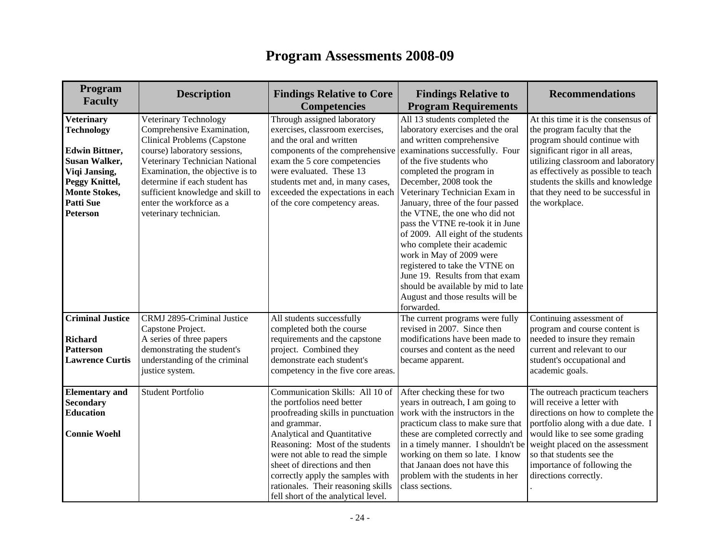| Program<br><b>Faculty</b>                                                                                                                                                                 | <b>Description</b>                                                                                                                                                                                                                                                                                                   | <b>Findings Relative to Core</b><br><b>Competencies</b>                                                                                                                                                                                                                                                                                                                    | <b>Findings Relative to</b><br><b>Program Requirements</b>                                                                                                                                                                                                                                                                                                                                                                                                                                                                                                                                                                     | <b>Recommendations</b>                                                                                                                                                                                                                                                                                           |
|-------------------------------------------------------------------------------------------------------------------------------------------------------------------------------------------|----------------------------------------------------------------------------------------------------------------------------------------------------------------------------------------------------------------------------------------------------------------------------------------------------------------------|----------------------------------------------------------------------------------------------------------------------------------------------------------------------------------------------------------------------------------------------------------------------------------------------------------------------------------------------------------------------------|--------------------------------------------------------------------------------------------------------------------------------------------------------------------------------------------------------------------------------------------------------------------------------------------------------------------------------------------------------------------------------------------------------------------------------------------------------------------------------------------------------------------------------------------------------------------------------------------------------------------------------|------------------------------------------------------------------------------------------------------------------------------------------------------------------------------------------------------------------------------------------------------------------------------------------------------------------|
| <b>Veterinary</b><br><b>Technology</b><br><b>Edwin Bittner,</b><br><b>Susan Walker,</b><br>Viqi Jansing,<br>Peggy Knittel,<br><b>Monte Stokes,</b><br><b>Patti Sue</b><br><b>Peterson</b> | Veterinary Technology<br>Comprehensive Examination,<br>Clinical Problems (Capstone<br>course) laboratory sessions,<br>Veterinary Technician National<br>Examination, the objective is to<br>determine if each student has<br>sufficient knowledge and skill to<br>enter the workforce as a<br>veterinary technician. | Through assigned laboratory<br>exercises, classroom exercises,<br>and the oral and written<br>components of the comprehensive<br>exam the 5 core competencies<br>were evaluated. These 13<br>students met and, in many cases,<br>exceeded the expectations in each<br>of the core competency areas.                                                                        | All 13 students completed the<br>laboratory exercises and the oral<br>and written comprehensive<br>examinations successfully. Four<br>of the five students who<br>completed the program in<br>December, 2008 took the<br>Veterinary Technician Exam in<br>January, three of the four passed<br>the VTNE, the one who did not<br>pass the VTNE re-took it in June<br>of 2009. All eight of the students<br>who complete their academic<br>work in May of 2009 were<br>registered to take the VTNE on<br>June 19. Results from that exam<br>should be available by mid to late<br>August and those results will be<br>forwarded. | At this time it is the consensus of<br>the program faculty that the<br>program should continue with<br>significant rigor in all areas,<br>utilizing classroom and laboratory<br>as effectively as possible to teach<br>students the skills and knowledge<br>that they need to be successful in<br>the workplace. |
| <b>Criminal Justice</b><br><b>Richard</b><br><b>Patterson</b><br><b>Lawrence Curtis</b>                                                                                                   | CRMJ 2895-Criminal Justice<br>Capstone Project.<br>A series of three papers<br>demonstrating the student's<br>understanding of the criminal<br>justice system.                                                                                                                                                       | All students successfully<br>completed both the course<br>requirements and the capstone<br>project. Combined they<br>demonstrate each student's<br>competency in the five core areas.                                                                                                                                                                                      | The current programs were fully<br>revised in 2007. Since then<br>modifications have been made to<br>courses and content as the need<br>became apparent.                                                                                                                                                                                                                                                                                                                                                                                                                                                                       | Continuing assessment of<br>program and course content is<br>needed to insure they remain<br>current and relevant to our<br>student's occupational and<br>academic goals.                                                                                                                                        |
| <b>Elementary</b> and<br><b>Secondary</b><br><b>Education</b><br><b>Connie Woehl</b>                                                                                                      | <b>Student Portfolio</b>                                                                                                                                                                                                                                                                                             | Communication Skills: All 10 of<br>the portfolios need better<br>proofreading skills in punctuation<br>and grammar.<br>Analytical and Quantitative<br>Reasoning: Most of the students<br>were not able to read the simple<br>sheet of directions and then<br>correctly apply the samples with<br>rationales. Their reasoning skills<br>fell short of the analytical level. | After checking these for two<br>years in outreach, I am going to<br>work with the instructors in the<br>practicum class to make sure that<br>these are completed correctly and<br>in a timely manner. I shouldn't be<br>working on them so late. I know<br>that Janaan does not have this<br>problem with the students in her<br>class sections.                                                                                                                                                                                                                                                                               | The outreach practicum teachers<br>will receive a letter with<br>directions on how to complete the<br>portfolio along with a due date. I<br>would like to see some grading<br>weight placed on the assessment<br>so that students see the<br>importance of following the<br>directions correctly.                |

# **Program Assessments 2008-09**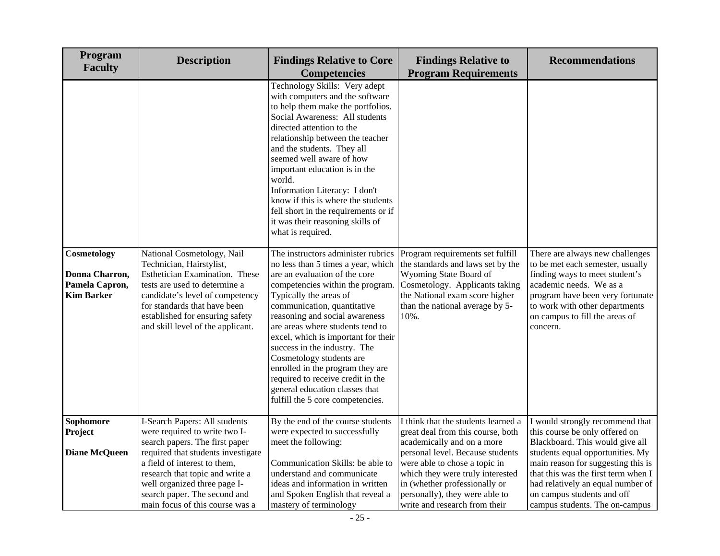| Program<br><b>Faculty</b>                                            | <b>Description</b>                                                                                                                                                                                                                                                        | <b>Findings Relative to Core</b><br><b>Competencies</b>                                                                                                                                                                                                                                                                                                                                                                                                                                                                        | <b>Findings Relative to</b><br><b>Program Requirements</b>                                                                                                                                                                                                                         | <b>Recommendations</b>                                                                                                                                                                                                                                                                   |
|----------------------------------------------------------------------|---------------------------------------------------------------------------------------------------------------------------------------------------------------------------------------------------------------------------------------------------------------------------|--------------------------------------------------------------------------------------------------------------------------------------------------------------------------------------------------------------------------------------------------------------------------------------------------------------------------------------------------------------------------------------------------------------------------------------------------------------------------------------------------------------------------------|------------------------------------------------------------------------------------------------------------------------------------------------------------------------------------------------------------------------------------------------------------------------------------|------------------------------------------------------------------------------------------------------------------------------------------------------------------------------------------------------------------------------------------------------------------------------------------|
|                                                                      |                                                                                                                                                                                                                                                                           | Technology Skills: Very adept<br>with computers and the software<br>to help them make the portfolios.<br>Social Awareness: All students<br>directed attention to the<br>relationship between the teacher<br>and the students. They all<br>seemed well aware of how<br>important education is in the<br>world.<br>Information Literacy: I don't<br>know if this is where the students<br>fell short in the requirements or if<br>it was their reasoning skills of<br>what is required.                                          |                                                                                                                                                                                                                                                                                    |                                                                                                                                                                                                                                                                                          |
| Cosmetology<br>Donna Charron,<br>Pamela Capron,<br><b>Kim Barker</b> | National Cosmetology, Nail<br>Technician, Hairstylist,<br>Esthetician Examination. These<br>tests are used to determine a<br>candidate's level of competency<br>for standards that have been<br>established for ensuring safety<br>and skill level of the applicant.      | The instructors administer rubrics<br>no less than 5 times a year, which<br>are an evaluation of the core<br>competencies within the program.<br>Typically the areas of<br>communication, quantitative<br>reasoning and social awareness<br>are areas where students tend to<br>excel, which is important for their<br>success in the industry. The<br>Cosmetology students are<br>enrolled in the program they are<br>required to receive credit in the<br>general education classes that<br>fulfill the 5 core competencies. | Program requirements set fulfill<br>the standards and laws set by the<br>Wyoming State Board of<br>Cosmetology. Applicants taking<br>the National exam score higher<br>than the national average by 5-<br>10%.                                                                     | There are always new challenges<br>to be met each semester, usually<br>finding ways to meet student's<br>academic needs. We as a<br>program have been very fortunate<br>to work with other departments<br>on campus to fill the areas of<br>concern.                                     |
| <b>Sophomore</b><br>Project<br><b>Diane McQueen</b>                  | I-Search Papers: All students<br>were required to write two I-<br>search papers. The first paper<br>required that students investigate<br>a field of interest to them,<br>research that topic and write a<br>well organized three page I-<br>search paper. The second and | By the end of the course students<br>were expected to successfully<br>meet the following:<br>Communication Skills: be able to<br>understand and communicate<br>ideas and information in written<br>and Spoken English that reveal a                                                                                                                                                                                                                                                                                            | I think that the students learned a<br>great deal from this course, both<br>academically and on a more<br>personal level. Because students<br>were able to chose a topic in<br>which they were truly interested<br>in (whether professionally or<br>personally), they were able to | I would strongly recommend that<br>this course be only offered on<br>Blackboard. This would give all<br>students equal opportunities. My<br>main reason for suggesting this is<br>that this was the first term when I<br>had relatively an equal number of<br>on campus students and off |
|                                                                      | main focus of this course was a                                                                                                                                                                                                                                           | mastery of terminology                                                                                                                                                                                                                                                                                                                                                                                                                                                                                                         | write and research from their                                                                                                                                                                                                                                                      | campus students. The on-campus                                                                                                                                                                                                                                                           |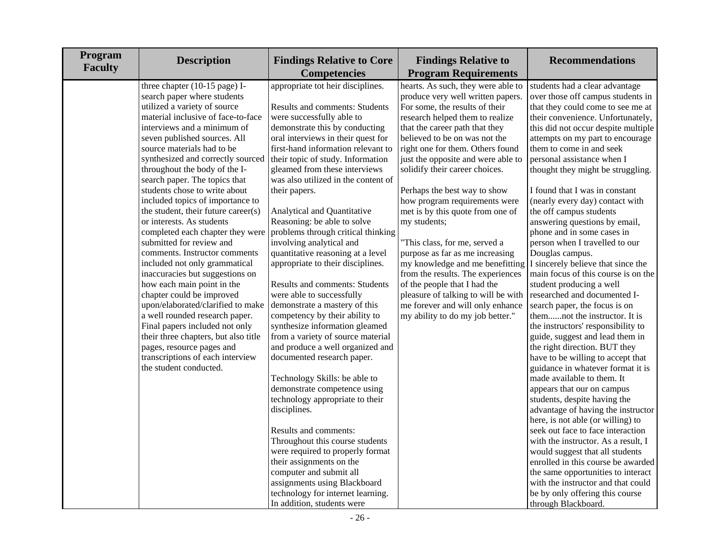| Program<br><b>Faculty</b> | <b>Description</b>                   | <b>Findings Relative to Core</b><br><b>Competencies</b> | <b>Findings Relative to</b><br><b>Program Requirements</b> | <b>Recommendations</b>              |
|---------------------------|--------------------------------------|---------------------------------------------------------|------------------------------------------------------------|-------------------------------------|
|                           | three chapter (10-15 page) I-        | appropriate tot heir disciplines.                       | hearts. As such, they were able to                         | students had a clear advantage      |
|                           | search paper where students          |                                                         | produce very well written papers.                          | over those off campus students in   |
|                           | utilized a variety of source         | Results and comments: Students                          | For some, the results of their                             | that they could come to see me at   |
|                           | material inclusive of face-to-face   | were successfully able to                               | research helped them to realize                            | their convenience. Unfortunately,   |
|                           | interviews and a minimum of          | demonstrate this by conducting                          | that the career path that they                             | this did not occur despite multiple |
|                           | seven published sources. All         | oral interviews in their quest for                      | believed to be on was not the                              | attempts on my part to encourage    |
|                           | source materials had to be           | first-hand information relevant to                      | right one for them. Others found                           | them to come in and seek            |
|                           | synthesized and correctly sourced    | their topic of study. Information                       | just the opposite and were able to                         | personal assistance when I          |
|                           | throughout the body of the I-        | gleamed from these interviews                           | solidify their career choices.                             | thought they might be struggling.   |
|                           | search paper. The topics that        | was also utilized in the content of                     |                                                            |                                     |
|                           | students chose to write about        | their papers.                                           | Perhaps the best way to show                               | I found that I was in constant      |
|                           | included topics of importance to     |                                                         | how program requirements were                              | (nearly every day) contact with     |
|                           | the student, their future career(s)  | Analytical and Quantitative                             | met is by this quote from one of                           | the off campus students             |
|                           | or interests. As students            | Reasoning: be able to solve                             | my students;                                               | answering questions by email,       |
|                           | completed each chapter they were     | problems through critical thinking                      |                                                            | phone and in some cases in          |
|                           | submitted for review and             | involving analytical and                                | "This class, for me, served a                              | person when I travelled to our      |
|                           | comments. Instructor comments        | quantitative reasoning at a level                       | purpose as far as me increasing                            | Douglas campus.                     |
|                           | included not only grammatical        | appropriate to their disciplines.                       | my knowledge and me benefitting                            | I sincerely believe that since the  |
|                           | inaccuracies but suggestions on      |                                                         | from the results. The experiences                          | main focus of this course is on the |
|                           | how each main point in the           | <b>Results and comments: Students</b>                   | of the people that I had the                               | student producing a well            |
|                           | chapter could be improved            | were able to successfully                               | pleasure of talking to will be with                        | researched and documented I-        |
|                           | upon/elaborated/clarified to make    | demonstrate a mastery of this                           | me forever and will only enhance                           | search paper, the focus is on       |
|                           | a well rounded research paper.       | competency by their ability to                          | my ability to do my job better."                           | themnot the instructor. It is       |
|                           | Final papers included not only       | synthesize information gleamed                          |                                                            | the instructors' responsibility to  |
|                           | their three chapters, but also title | from a variety of source material                       |                                                            | guide, suggest and lead them in     |
|                           | pages, resource pages and            | and produce a well organized and                        |                                                            | the right direction. BUT they       |
|                           | transcriptions of each interview     | documented research paper.                              |                                                            | have to be willing to accept that   |
|                           | the student conducted.               |                                                         |                                                            | guidance in whatever format it is   |
|                           |                                      | Technology Skills: be able to                           |                                                            | made available to them. It          |
|                           |                                      | demonstrate competence using                            |                                                            | appears that our on campus          |
|                           |                                      | technology appropriate to their                         |                                                            | students, despite having the        |
|                           |                                      | disciplines.                                            |                                                            | advantage of having the instructor  |
|                           |                                      |                                                         |                                                            | here, is not able (or willing) to   |
|                           |                                      | Results and comments:                                   |                                                            | seek out face to face interaction   |
|                           |                                      | Throughout this course students                         |                                                            | with the instructor. As a result, I |
|                           |                                      | were required to properly format                        |                                                            | would suggest that all students     |
|                           |                                      | their assignments on the                                |                                                            | enrolled in this course be awarded  |
|                           |                                      | computer and submit all                                 |                                                            | the same opportunities to interact  |
|                           |                                      | assignments using Blackboard                            |                                                            | with the instructor and that could  |
|                           |                                      | technology for internet learning.                       |                                                            | be by only offering this course     |
|                           |                                      | In addition, students were                              |                                                            | through Blackboard.                 |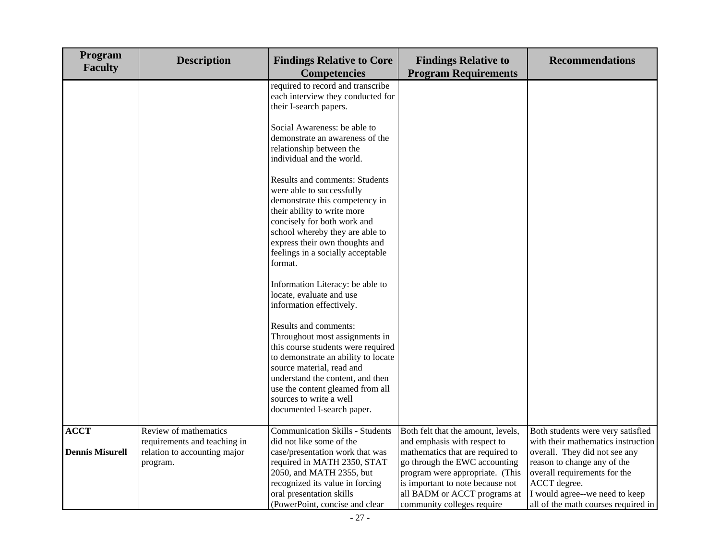| Program<br><b>Faculty</b> | <b>Description</b>                                                       | <b>Findings Relative to Core</b><br><b>Competencies</b>                                                                                                                                                                                                                                            | <b>Findings Relative to</b><br><b>Program Requirements</b>                                                                                                                                                                             | <b>Recommendations</b>                                                                                                                                                                                                      |
|---------------------------|--------------------------------------------------------------------------|----------------------------------------------------------------------------------------------------------------------------------------------------------------------------------------------------------------------------------------------------------------------------------------------------|----------------------------------------------------------------------------------------------------------------------------------------------------------------------------------------------------------------------------------------|-----------------------------------------------------------------------------------------------------------------------------------------------------------------------------------------------------------------------------|
|                           |                                                                          | required to record and transcribe<br>each interview they conducted for<br>their I-search papers.                                                                                                                                                                                                   |                                                                                                                                                                                                                                        |                                                                                                                                                                                                                             |
|                           |                                                                          | Social Awareness: be able to<br>demonstrate an awareness of the<br>relationship between the<br>individual and the world.                                                                                                                                                                           |                                                                                                                                                                                                                                        |                                                                                                                                                                                                                             |
|                           |                                                                          | <b>Results and comments: Students</b><br>were able to successfully<br>demonstrate this competency in<br>their ability to write more<br>concisely for both work and<br>school whereby they are able to<br>express their own thoughts and<br>feelings in a socially acceptable<br>format.            |                                                                                                                                                                                                                                        |                                                                                                                                                                                                                             |
|                           |                                                                          | Information Literacy: be able to<br>locate, evaluate and use<br>information effectively.                                                                                                                                                                                                           |                                                                                                                                                                                                                                        |                                                                                                                                                                                                                             |
|                           |                                                                          | Results and comments:<br>Throughout most assignments in<br>this course students were required<br>to demonstrate an ability to locate<br>source material, read and<br>understand the content, and then<br>use the content gleamed from all<br>sources to write a well<br>documented I-search paper. |                                                                                                                                                                                                                                        |                                                                                                                                                                                                                             |
| <b>ACCT</b>               | Review of mathematics                                                    | <b>Communication Skills - Students</b>                                                                                                                                                                                                                                                             | Both felt that the amount, levels,                                                                                                                                                                                                     | Both students were very satisfied                                                                                                                                                                                           |
| <b>Dennis Misurell</b>    | requirements and teaching in<br>relation to accounting major<br>program. | did not like some of the<br>case/presentation work that was<br>required in MATH 2350, STAT<br>2050, and MATH 2355, but<br>recognized its value in forcing<br>oral presentation skills<br>(PowerPoint, concise and clear                                                                            | and emphasis with respect to<br>mathematics that are required to<br>go through the EWC accounting<br>program were appropriate. (This<br>is important to note because not<br>all BADM or ACCT programs at<br>community colleges require | with their mathematics instruction<br>overall. They did not see any<br>reason to change any of the<br>overall requirements for the<br>ACCT degree.<br>I would agree--we need to keep<br>all of the math courses required in |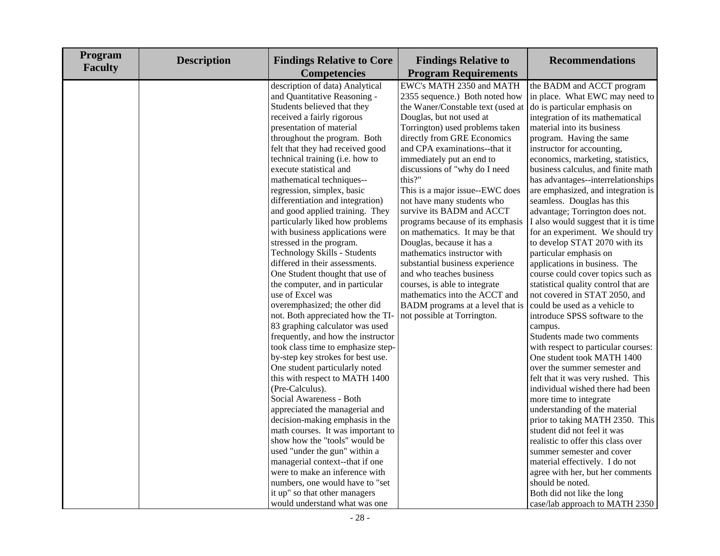| Program<br><b>Faculty</b> | <b>Description</b> | <b>Findings Relative to Core</b><br><b>Competencies</b>                                                                                                                                                                                                                                                                                                                                                                                                                                                                                                                                                                                                                                                                                                                                                                                                                                                                                                                                                                                                                                                                                          | <b>Findings Relative to</b><br><b>Program Requirements</b>                                                                                                                                                                                                                                                                                                                                                                                                                                                                                                                                                                                                                                                                                 | <b>Recommendations</b>                                                                                                                                                                                                                                                                                                                                                                                                                                                                                                                                                                                                                                                                                                                                                                                                                                                                                                                                                                                                                                                                                                                                       |
|---------------------------|--------------------|--------------------------------------------------------------------------------------------------------------------------------------------------------------------------------------------------------------------------------------------------------------------------------------------------------------------------------------------------------------------------------------------------------------------------------------------------------------------------------------------------------------------------------------------------------------------------------------------------------------------------------------------------------------------------------------------------------------------------------------------------------------------------------------------------------------------------------------------------------------------------------------------------------------------------------------------------------------------------------------------------------------------------------------------------------------------------------------------------------------------------------------------------|--------------------------------------------------------------------------------------------------------------------------------------------------------------------------------------------------------------------------------------------------------------------------------------------------------------------------------------------------------------------------------------------------------------------------------------------------------------------------------------------------------------------------------------------------------------------------------------------------------------------------------------------------------------------------------------------------------------------------------------------|--------------------------------------------------------------------------------------------------------------------------------------------------------------------------------------------------------------------------------------------------------------------------------------------------------------------------------------------------------------------------------------------------------------------------------------------------------------------------------------------------------------------------------------------------------------------------------------------------------------------------------------------------------------------------------------------------------------------------------------------------------------------------------------------------------------------------------------------------------------------------------------------------------------------------------------------------------------------------------------------------------------------------------------------------------------------------------------------------------------------------------------------------------------|
|                           |                    | description of data) Analytical<br>and Quantitative Reasoning -<br>Students believed that they<br>received a fairly rigorous<br>presentation of material<br>throughout the program. Both<br>felt that they had received good<br>technical training (i.e. how to<br>execute statistical and<br>mathematical techniques--<br>regression, simplex, basic<br>differentiation and integration)<br>and good applied training. They<br>particularly liked how problems<br>with business applications were<br>stressed in the program.<br>Technology Skills - Students<br>differed in their assessments.<br>One Student thought that use of<br>the computer, and in particular<br>use of Excel was<br>overemphasized; the other did<br>not. Both appreciated how the TI-<br>83 graphing calculator was used<br>frequently, and how the instructor<br>took class time to emphasize step-<br>by-step key strokes for best use.<br>One student particularly noted<br>this with respect to MATH 1400<br>(Pre-Calculus).<br>Social Awareness - Both<br>appreciated the managerial and<br>decision-making emphasis in the<br>math courses. It was important to | EWC's MATH 2350 and MATH<br>2355 sequence.) Both noted how<br>the Waner/Constable text (used at<br>Douglas, but not used at<br>Torrington) used problems taken<br>directly from GRE Economics<br>and CPA examinations--that it<br>immediately put an end to<br>discussions of "why do I need<br>this?"<br>This is a major issue--EWC does<br>not have many students who<br>survive its BADM and ACCT<br>programs because of its emphasis<br>on mathematics. It may be that<br>Douglas, because it has a<br>mathematics instructor with<br>substantial business experience<br>and who teaches business<br>courses, is able to integrate<br>mathematics into the ACCT and<br>BADM programs at a level that is<br>not possible at Torrington. | the BADM and ACCT program<br>in place. What EWC may need to<br>do is particular emphasis on<br>integration of its mathematical<br>material into its business<br>program. Having the same<br>instructor for accounting,<br>economics, marketing, statistics,<br>business calculus, and finite math<br>has advantages--interrelationships<br>are emphasized, and integration is<br>seamless. Douglas has this<br>advantage; Torrington does not.<br>I also would suggest that it is time<br>for an experiment. We should try<br>to develop STAT 2070 with its<br>particular emphasis on<br>applications in business. The<br>course could cover topics such as<br>statistical quality control that are<br>not covered in STAT 2050, and<br>could be used as a vehicle to<br>introduce SPSS software to the<br>campus.<br>Students made two comments<br>with respect to particular courses:<br>One student took MATH 1400<br>over the summer semester and<br>felt that it was very rushed. This<br>individual wished there had been<br>more time to integrate<br>understanding of the material<br>prior to taking MATH 2350. This<br>student did not feel it was |
|                           |                    | show how the "tools" would be<br>used "under the gun" within a<br>managerial context--that if one<br>were to make an inference with<br>numbers, one would have to "set<br>it up" so that other managers<br>would understand what was one                                                                                                                                                                                                                                                                                                                                                                                                                                                                                                                                                                                                                                                                                                                                                                                                                                                                                                         |                                                                                                                                                                                                                                                                                                                                                                                                                                                                                                                                                                                                                                                                                                                                            | realistic to offer this class over<br>summer semester and cover<br>material effectively. I do not<br>agree with her, but her comments<br>should be noted.<br>Both did not like the long<br>case/lab approach to MATH 2350                                                                                                                                                                                                                                                                                                                                                                                                                                                                                                                                                                                                                                                                                                                                                                                                                                                                                                                                    |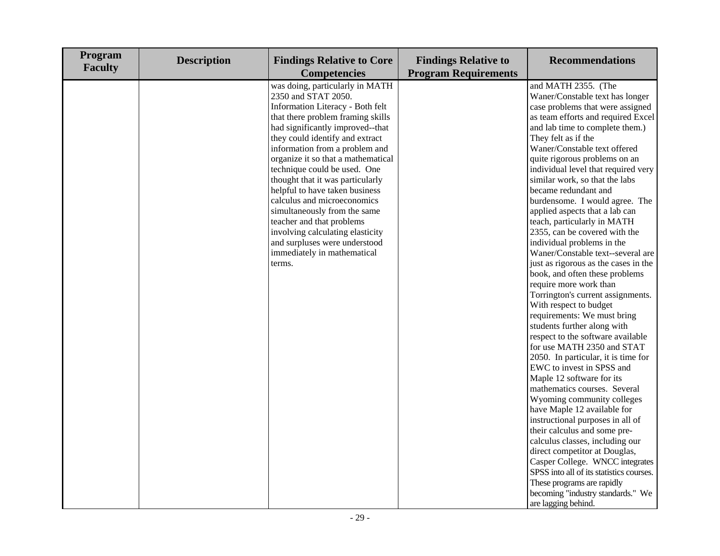| Program<br><b>Faculty</b> | <b>Description</b> | <b>Findings Relative to Core</b><br><b>Competencies</b>                                                                                                                                                                                                                                                                                                                                                                                                                                                                                                                                        | <b>Findings Relative to</b><br><b>Program Requirements</b> | <b>Recommendations</b>                                                                                                                                                                                                                                                                                                                                                                                                                                                                                                                                                                                                                                                                                                                                                                                                                                                                                                                                                                                                                                                                                                                                                                                                                                                                                                                                          |
|---------------------------|--------------------|------------------------------------------------------------------------------------------------------------------------------------------------------------------------------------------------------------------------------------------------------------------------------------------------------------------------------------------------------------------------------------------------------------------------------------------------------------------------------------------------------------------------------------------------------------------------------------------------|------------------------------------------------------------|-----------------------------------------------------------------------------------------------------------------------------------------------------------------------------------------------------------------------------------------------------------------------------------------------------------------------------------------------------------------------------------------------------------------------------------------------------------------------------------------------------------------------------------------------------------------------------------------------------------------------------------------------------------------------------------------------------------------------------------------------------------------------------------------------------------------------------------------------------------------------------------------------------------------------------------------------------------------------------------------------------------------------------------------------------------------------------------------------------------------------------------------------------------------------------------------------------------------------------------------------------------------------------------------------------------------------------------------------------------------|
|                           |                    | was doing, particularly in MATH<br>2350 and STAT 2050.<br>Information Literacy - Both felt<br>that there problem framing skills<br>had significantly improved--that<br>they could identify and extract<br>information from a problem and<br>organize it so that a mathematical<br>technique could be used. One<br>thought that it was particularly<br>helpful to have taken business<br>calculus and microeconomics<br>simultaneously from the same<br>teacher and that problems<br>involving calculating elasticity<br>and surpluses were understood<br>immediately in mathematical<br>terms. |                                                            | and MATH 2355. (The<br>Waner/Constable text has longer<br>case problems that were assigned<br>as team efforts and required Excel<br>and lab time to complete them.)<br>They felt as if the<br>Waner/Constable text offered<br>quite rigorous problems on an<br>individual level that required very<br>similar work, so that the labs<br>became redundant and<br>burdensome. I would agree. The<br>applied aspects that a lab can<br>teach, particularly in MATH<br>2355, can be covered with the<br>individual problems in the<br>Waner/Constable text--several are<br>just as rigorous as the cases in the<br>book, and often these problems<br>require more work than<br>Torrington's current assignments.<br>With respect to budget<br>requirements: We must bring<br>students further along with<br>respect to the software available<br>for use MATH 2350 and STAT<br>2050. In particular, it is time for<br>EWC to invest in SPSS and<br>Maple 12 software for its<br>mathematics courses. Several<br>Wyoming community colleges<br>have Maple 12 available for<br>instructional purposes in all of<br>their calculus and some pre-<br>calculus classes, including our<br>direct competitor at Douglas,<br>Casper College. WNCC integrates<br>SPSS into all of its statistics courses.<br>These programs are rapidly<br>becoming "industry standards." We |
|                           |                    |                                                                                                                                                                                                                                                                                                                                                                                                                                                                                                                                                                                                |                                                            | are lagging behind.                                                                                                                                                                                                                                                                                                                                                                                                                                                                                                                                                                                                                                                                                                                                                                                                                                                                                                                                                                                                                                                                                                                                                                                                                                                                                                                                             |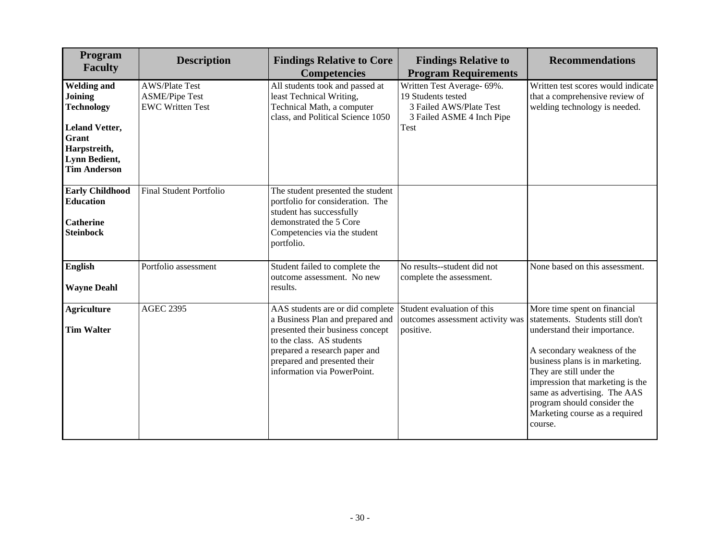| Program<br><b>Faculty</b>                                                                                                                    | <b>Description</b>                                                        | <b>Findings Relative to Core</b><br><b>Findings Relative to</b><br><b>Program Requirements</b><br><b>Competencies</b>                                                                                                                              |                                                                             | <b>Recommendations</b>                                                                                                                                                                                                                                                                                                                         |
|----------------------------------------------------------------------------------------------------------------------------------------------|---------------------------------------------------------------------------|----------------------------------------------------------------------------------------------------------------------------------------------------------------------------------------------------------------------------------------------------|-----------------------------------------------------------------------------|------------------------------------------------------------------------------------------------------------------------------------------------------------------------------------------------------------------------------------------------------------------------------------------------------------------------------------------------|
| <b>Welding and</b><br>Joining<br><b>Technology</b><br><b>Leland Vetter,</b><br>Grant<br>Harpstreith,<br>Lynn Bedient,<br><b>Tim Anderson</b> | <b>AWS/Plate Test</b><br><b>ASME/Pipe Test</b><br><b>EWC Written Test</b> | All students took and passed at<br>Written Test Average- 69%.<br>19 Students tested<br>least Technical Writing,<br>Technical Math, a computer<br>3 Failed AWS/Plate Test<br>class, and Political Science 1050<br>3 Failed ASME 4 Inch Pipe<br>Test |                                                                             | Written test scores would indicate<br>that a comprehensive review of<br>welding technology is needed.                                                                                                                                                                                                                                          |
| <b>Early Childhood</b><br><b>Education</b><br><b>Catherine</b><br><b>Steinbock</b>                                                           | <b>Final Student Portfolio</b>                                            | The student presented the student<br>portfolio for consideration. The<br>student has successfully<br>demonstrated the 5 Core<br>Competencies via the student<br>portfolio.                                                                         |                                                                             |                                                                                                                                                                                                                                                                                                                                                |
| <b>English</b><br><b>Wayne Deahl</b>                                                                                                         | Portfolio assessment                                                      | Student failed to complete the<br>outcome assessment. No new<br>results.                                                                                                                                                                           | No results--student did not<br>complete the assessment.                     | None based on this assessment.                                                                                                                                                                                                                                                                                                                 |
| <b>Agriculture</b><br><b>Tim Walter</b>                                                                                                      | <b>AGEC 2395</b>                                                          | AAS students are or did complete<br>a Business Plan and prepared and<br>presented their business concept<br>to the class. AS students<br>prepared a research paper and<br>prepared and presented their<br>information via PowerPoint.              | Student evaluation of this<br>outcomes assessment activity was<br>positive. | More time spent on financial<br>statements. Students still don't<br>understand their importance.<br>A secondary weakness of the<br>business plans is in marketing.<br>They are still under the<br>impression that marketing is the<br>same as advertising. The AAS<br>program should consider the<br>Marketing course as a required<br>course. |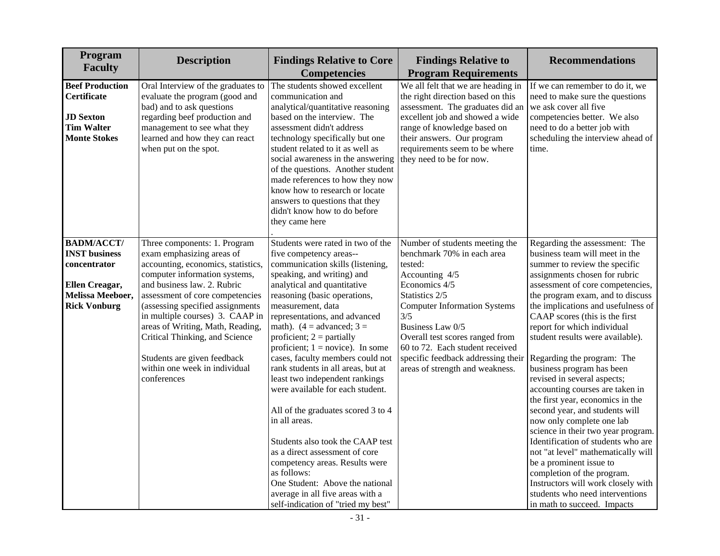| Program<br><b>Faculty</b>                                        | <b>Description</b>                                                                                                                                                                                                                           | <b>Findings Relative to Core</b><br><b>Findings Relative to</b><br><b>Program Requirements</b><br><b>Competencies</b>                                                                                                                                                                                                                                              |                                                                                                                                                                                           | <b>Recommendations</b>                                                                                                                                                                                                                           |
|------------------------------------------------------------------|----------------------------------------------------------------------------------------------------------------------------------------------------------------------------------------------------------------------------------------------|--------------------------------------------------------------------------------------------------------------------------------------------------------------------------------------------------------------------------------------------------------------------------------------------------------------------------------------------------------------------|-------------------------------------------------------------------------------------------------------------------------------------------------------------------------------------------|--------------------------------------------------------------------------------------------------------------------------------------------------------------------------------------------------------------------------------------------------|
| <b>Beef Production</b><br><b>Certificate</b>                     | Oral Interview of the graduates to<br>evaluate the program (good and<br>bad) and to ask questions                                                                                                                                            | The students showed excellent<br>communication and<br>analytical/quantitative reasoning                                                                                                                                                                                                                                                                            | We all felt that we are heading in<br>the right direction based on this<br>assessment. The graduates did an                                                                               | If we can remember to do it, we<br>need to make sure the questions<br>we ask cover all five                                                                                                                                                      |
| <b>JD</b> Sexton<br><b>Tim Walter</b><br><b>Monte Stokes</b>     | regarding beef production and<br>management to see what they<br>learned and how they can react<br>when put on the spot.                                                                                                                      | based on the interview. The<br>assessment didn't address<br>technology specifically but one<br>student related to it as well as<br>social awareness in the answering<br>of the questions. Another student<br>made references to how they now<br>know how to research or locate<br>answers to questions that they<br>didn't know how to do before<br>they came here | excellent job and showed a wide<br>range of knowledge based on<br>their answers. Our program<br>requirements seem to be where<br>they need to be for now.                                 | competencies better. We also<br>need to do a better job with<br>scheduling the interview ahead of<br>time.                                                                                                                                       |
| <b>BADM/ACCT/</b><br><b>INST business</b>                        | Three components: 1. Program<br>exam emphasizing areas of                                                                                                                                                                                    | Students were rated in two of the<br>five competency areas--                                                                                                                                                                                                                                                                                                       | Number of students meeting the<br>benchmark 70% in each area                                                                                                                              | Regarding the assessment: The<br>business team will meet in the                                                                                                                                                                                  |
| concentrator                                                     | accounting, economics, statistics,                                                                                                                                                                                                           | communication skills (listening,                                                                                                                                                                                                                                                                                                                                   | tested:                                                                                                                                                                                   | summer to review the specific                                                                                                                                                                                                                    |
| Ellen Creagar,<br><b>Melissa Meeboer,</b><br><b>Rick Vonburg</b> | computer information systems,<br>and business law. 2. Rubric<br>assessment of core competencies<br>(assessing specified assignments<br>in multiple courses) 3. CAAP in<br>areas of Writing, Math, Reading,<br>Critical Thinking, and Science | speaking, and writing) and<br>analytical and quantitative<br>reasoning (basic operations,<br>measurement, data<br>representations, and advanced<br>math). $(4 = \text{advanced}; 3 =$<br>proficient; $2 =$ partially<br>proficient; $1 = \text{novice}$ ). In some                                                                                                 | Accounting 4/5<br>Economics 4/5<br>Statistics 2/5<br><b>Computer Information Systems</b><br>3/5<br>Business Law 0/5<br>Overall test scores ranged from<br>60 to 72. Each student received | assignments chosen for rubric<br>assessment of core competencies,<br>the program exam, and to discuss<br>the implications and usefulness of<br>CAAP scores (this is the first<br>report for which individual<br>student results were available). |
|                                                                  | Students are given feedback<br>within one week in individual<br>conferences                                                                                                                                                                  | cases, faculty members could not<br>rank students in all areas, but at<br>least two independent rankings<br>were available for each student.                                                                                                                                                                                                                       | specific feedback addressing their<br>areas of strength and weakness.                                                                                                                     | Regarding the program: The<br>business program has been<br>revised in several aspects;<br>accounting courses are taken in<br>the first year, economics in the                                                                                    |
|                                                                  |                                                                                                                                                                                                                                              | All of the graduates scored 3 to 4<br>in all areas.                                                                                                                                                                                                                                                                                                                |                                                                                                                                                                                           | second year, and students will<br>now only complete one lab<br>science in their two year program.                                                                                                                                                |
|                                                                  |                                                                                                                                                                                                                                              | Students also took the CAAP test<br>as a direct assessment of core<br>competency areas. Results were                                                                                                                                                                                                                                                               |                                                                                                                                                                                           | Identification of students who are<br>not "at level" mathematically will<br>be a prominent issue to                                                                                                                                              |
|                                                                  |                                                                                                                                                                                                                                              | as follows:<br>One Student: Above the national<br>average in all five areas with a<br>self-indication of "tried my best"                                                                                                                                                                                                                                           |                                                                                                                                                                                           | completion of the program.<br>Instructors will work closely with<br>students who need interventions<br>in math to succeed. Impacts                                                                                                               |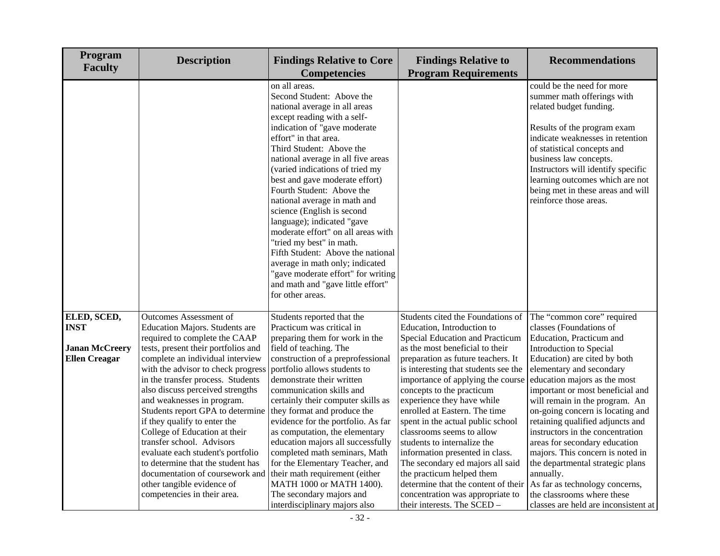| Program<br><b>Faculty</b> | <b>Description</b>                                            | <b>Findings Relative to</b><br><b>Findings Relative to Core</b><br><b>Program Requirements</b><br><b>Competencies</b>                                                                                                                                                                                                                                                                                                                                                                                                                                                                                                                                                        |                                                                | <b>Recommendations</b>                                                                                                                                                                                                                                                                                                                                  |
|---------------------------|---------------------------------------------------------------|------------------------------------------------------------------------------------------------------------------------------------------------------------------------------------------------------------------------------------------------------------------------------------------------------------------------------------------------------------------------------------------------------------------------------------------------------------------------------------------------------------------------------------------------------------------------------------------------------------------------------------------------------------------------------|----------------------------------------------------------------|---------------------------------------------------------------------------------------------------------------------------------------------------------------------------------------------------------------------------------------------------------------------------------------------------------------------------------------------------------|
|                           |                                                               | on all areas.<br>Second Student: Above the<br>national average in all areas<br>except reading with a self-<br>indication of "gave moderate<br>effort" in that area.<br>Third Student: Above the<br>national average in all five areas<br>(varied indications of tried my<br>best and gave moderate effort)<br>Fourth Student: Above the<br>national average in math and<br>science (English is second<br>language); indicated "gave<br>moderate effort" on all areas with<br>"tried my best" in math.<br>Fifth Student: Above the national<br>average in math only; indicated<br>"gave moderate effort" for writing<br>and math and "gave little effort"<br>for other areas. |                                                                | could be the need for more<br>summer math offerings with<br>related budget funding.<br>Results of the program exam<br>indicate weaknesses in retention<br>of statistical concepts and<br>business law concepts.<br>Instructors will identify specific<br>learning outcomes which are not<br>being met in these areas and will<br>reinforce those areas. |
| ELED, SCED,               | <b>Outcomes Assessment of</b>                                 | Students reported that the                                                                                                                                                                                                                                                                                                                                                                                                                                                                                                                                                                                                                                                   | Students cited the Foundations of                              | The "common core" required                                                                                                                                                                                                                                                                                                                              |
| <b>INST</b>               | Education Majors. Students are                                | Practicum was critical in                                                                                                                                                                                                                                                                                                                                                                                                                                                                                                                                                                                                                                                    | Education, Introduction to                                     | classes (Foundations of                                                                                                                                                                                                                                                                                                                                 |
|                           | required to complete the CAAP                                 | preparing them for work in the                                                                                                                                                                                                                                                                                                                                                                                                                                                                                                                                                                                                                                               | Special Education and Practicum                                | Education, Practicum and                                                                                                                                                                                                                                                                                                                                |
| <b>Janan McCreery</b>     | tests, present their portfolios and                           | field of teaching. The                                                                                                                                                                                                                                                                                                                                                                                                                                                                                                                                                                                                                                                       | as the most beneficial to their                                | Introduction to Special                                                                                                                                                                                                                                                                                                                                 |
| <b>Ellen Creagar</b>      | complete an individual interview                              | construction of a preprofessional                                                                                                                                                                                                                                                                                                                                                                                                                                                                                                                                                                                                                                            | preparation as future teachers. It                             | Education) are cited by both                                                                                                                                                                                                                                                                                                                            |
|                           | with the advisor to check progress                            | portfolio allows students to                                                                                                                                                                                                                                                                                                                                                                                                                                                                                                                                                                                                                                                 | is interesting that students see the                           | elementary and secondary                                                                                                                                                                                                                                                                                                                                |
|                           | in the transfer process. Students                             | demonstrate their written                                                                                                                                                                                                                                                                                                                                                                                                                                                                                                                                                                                                                                                    | importance of applying the course                              | education majors as the most                                                                                                                                                                                                                                                                                                                            |
|                           | also discuss perceived strengths                              | communication skills and                                                                                                                                                                                                                                                                                                                                                                                                                                                                                                                                                                                                                                                     | concepts to the practicum                                      | important or most beneficial and                                                                                                                                                                                                                                                                                                                        |
|                           | and weaknesses in program.                                    | certainly their computer skills as                                                                                                                                                                                                                                                                                                                                                                                                                                                                                                                                                                                                                                           | experience they have while                                     | will remain in the program. An                                                                                                                                                                                                                                                                                                                          |
|                           | Students report GPA to determine                              | they format and produce the                                                                                                                                                                                                                                                                                                                                                                                                                                                                                                                                                                                                                                                  | enrolled at Eastern. The time                                  | on-going concern is locating and                                                                                                                                                                                                                                                                                                                        |
|                           | if they qualify to enter the<br>College of Education at their | evidence for the portfolio. As far                                                                                                                                                                                                                                                                                                                                                                                                                                                                                                                                                                                                                                           | spent in the actual public school<br>classrooms seems to allow | retaining qualified adjuncts and<br>instructors in the concentration                                                                                                                                                                                                                                                                                    |
|                           | transfer school. Advisors                                     | as computation, the elementary<br>education majors all successfully                                                                                                                                                                                                                                                                                                                                                                                                                                                                                                                                                                                                          | students to internalize the                                    |                                                                                                                                                                                                                                                                                                                                                         |
|                           | evaluate each student's portfolio                             | completed math seminars, Math                                                                                                                                                                                                                                                                                                                                                                                                                                                                                                                                                                                                                                                | information presented in class.                                | areas for secondary education<br>majors. This concern is noted in                                                                                                                                                                                                                                                                                       |
|                           | to determine that the student has                             | for the Elementary Teacher, and                                                                                                                                                                                                                                                                                                                                                                                                                                                                                                                                                                                                                                              | The secondary ed majors all said                               | the departmental strategic plans                                                                                                                                                                                                                                                                                                                        |
|                           | documentation of coursework and                               | their math requirement (either                                                                                                                                                                                                                                                                                                                                                                                                                                                                                                                                                                                                                                               | the practicum helped them                                      | annually.                                                                                                                                                                                                                                                                                                                                               |
|                           | other tangible evidence of                                    | MATH 1000 or MATH 1400).                                                                                                                                                                                                                                                                                                                                                                                                                                                                                                                                                                                                                                                     | determine that the content of their                            | As far as technology concerns,                                                                                                                                                                                                                                                                                                                          |
|                           | competencies in their area.                                   | The secondary majors and                                                                                                                                                                                                                                                                                                                                                                                                                                                                                                                                                                                                                                                     | concentration was appropriate to                               | the classrooms where these                                                                                                                                                                                                                                                                                                                              |
|                           |                                                               | interdisciplinary majors also                                                                                                                                                                                                                                                                                                                                                                                                                                                                                                                                                                                                                                                | their interests. The SCED -                                    | classes are held are inconsistent at                                                                                                                                                                                                                                                                                                                    |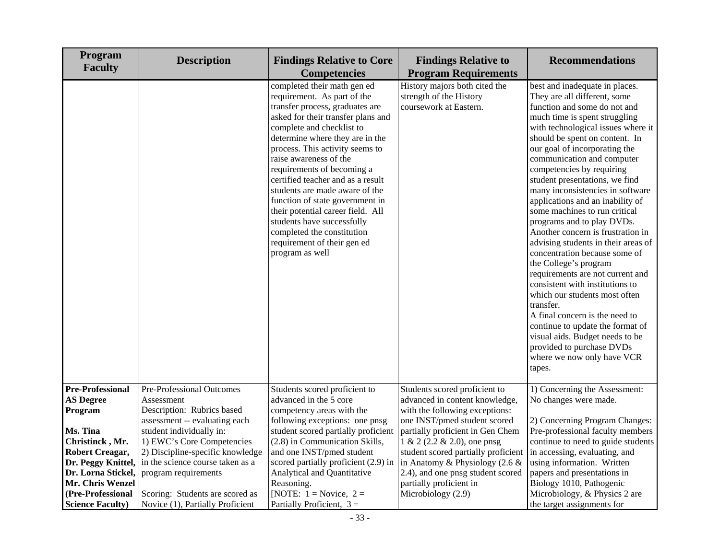| Program<br><b>Faculty</b>                                                                                   | <b>Description</b>                                                                                                              | <b>Findings Relative to Core</b><br><b>Competencies</b>                                                                                                                                                                                                                                                                                                                                                                                                                                                                                                     | <b>Findings Relative to</b><br><b>Program Requirements</b>                                                                                                     | <b>Recommendations</b>                                                                                                                                                                                                                                                                                                                                                                                                                                                                                                                                                                                                                                                                                                                                                                                                                                                                                                |  |  |
|-------------------------------------------------------------------------------------------------------------|---------------------------------------------------------------------------------------------------------------------------------|-------------------------------------------------------------------------------------------------------------------------------------------------------------------------------------------------------------------------------------------------------------------------------------------------------------------------------------------------------------------------------------------------------------------------------------------------------------------------------------------------------------------------------------------------------------|----------------------------------------------------------------------------------------------------------------------------------------------------------------|-----------------------------------------------------------------------------------------------------------------------------------------------------------------------------------------------------------------------------------------------------------------------------------------------------------------------------------------------------------------------------------------------------------------------------------------------------------------------------------------------------------------------------------------------------------------------------------------------------------------------------------------------------------------------------------------------------------------------------------------------------------------------------------------------------------------------------------------------------------------------------------------------------------------------|--|--|
|                                                                                                             |                                                                                                                                 | completed their math gen ed<br>requirement. As part of the<br>transfer process, graduates are<br>asked for their transfer plans and<br>complete and checklist to<br>determine where they are in the<br>process. This activity seems to<br>raise awareness of the<br>requirements of becoming a<br>certified teacher and as a result<br>students are made aware of the<br>function of state government in<br>their potential career field. All<br>students have successfully<br>completed the constitution<br>requirement of their gen ed<br>program as well | History majors both cited the<br>strength of the History<br>coursework at Eastern.                                                                             | best and inadequate in places.<br>They are all different, some<br>function and some do not and<br>much time is spent struggling<br>with technological issues where it<br>should be spent on content. In<br>our goal of incorporating the<br>communication and computer<br>competencies by requiring<br>student presentations, we find<br>many inconsistencies in software<br>applications and an inability of<br>some machines to run critical<br>programs and to play DVDs.<br>Another concern is frustration in<br>advising students in their areas of<br>concentration because some of<br>the College's program<br>requirements are not current and<br>consistent with institutions to<br>which our students most often<br>transfer.<br>A final concern is the need to<br>continue to update the format of<br>visual aids. Budget needs to be<br>provided to purchase DVDs<br>where we now only have VCR<br>tapes. |  |  |
| <b>Pre-Professional</b><br><b>AS Degree</b><br>Program                                                      | Pre-Professional Outcomes<br>Assessment<br>Description: Rubrics based                                                           | Students scored proficient to<br>advanced in the 5 core<br>competency areas with the                                                                                                                                                                                                                                                                                                                                                                                                                                                                        | Students scored proficient to<br>advanced in content knowledge,<br>with the following exceptions:                                                              | 1) Concerning the Assessment:<br>No changes were made.                                                                                                                                                                                                                                                                                                                                                                                                                                                                                                                                                                                                                                                                                                                                                                                                                                                                |  |  |
| Ms. Tina<br>Christinck, Mr.                                                                                 | assessment -- evaluating each<br>student individually in:<br>1) EWC's Core Competencies                                         | following exceptions: one pnsg<br>student scored partially proficient<br>(2.8) in Communication Skills,                                                                                                                                                                                                                                                                                                                                                                                                                                                     | one INST/pmed student scored<br>partially proficient in Gen Chem<br>$1 \& 2 (2.2 \& 2.0)$ , one pnsg                                                           | 2) Concerning Program Changes:<br>Pre-professional faculty members<br>continue to need to guide students                                                                                                                                                                                                                                                                                                                                                                                                                                                                                                                                                                                                                                                                                                                                                                                                              |  |  |
| <b>Robert Creagar,</b><br>Dr. Peggy Knittel,<br>Dr. Lorna Stickel,<br>Mr. Chris Wenzel<br>(Pre-Professional | 2) Discipline-specific knowledge<br>in the science course taken as a<br>program requirements<br>Scoring: Students are scored as | and one INST/pmed student<br>scored partially proficient (2.9) in<br>Analytical and Quantitative<br>Reasoning.<br>[NOTE: $1 = \text{Novice}, 2 =$                                                                                                                                                                                                                                                                                                                                                                                                           | student scored partially proficient<br>in Anatomy & Physiology (2.6 $\&$<br>2.4), and one pnsg student scored<br>partially proficient in<br>Microbiology (2.9) | in accessing, evaluating, and<br>using information. Written<br>papers and presentations in<br>Biology 1010, Pathogenic<br>Microbiology, & Physics 2 are                                                                                                                                                                                                                                                                                                                                                                                                                                                                                                                                                                                                                                                                                                                                                               |  |  |
| <b>Science Faculty</b> )                                                                                    | Novice (1), Partially Proficient                                                                                                | Partially Proficient, $3 =$                                                                                                                                                                                                                                                                                                                                                                                                                                                                                                                                 |                                                                                                                                                                | the target assignments for                                                                                                                                                                                                                                                                                                                                                                                                                                                                                                                                                                                                                                                                                                                                                                                                                                                                                            |  |  |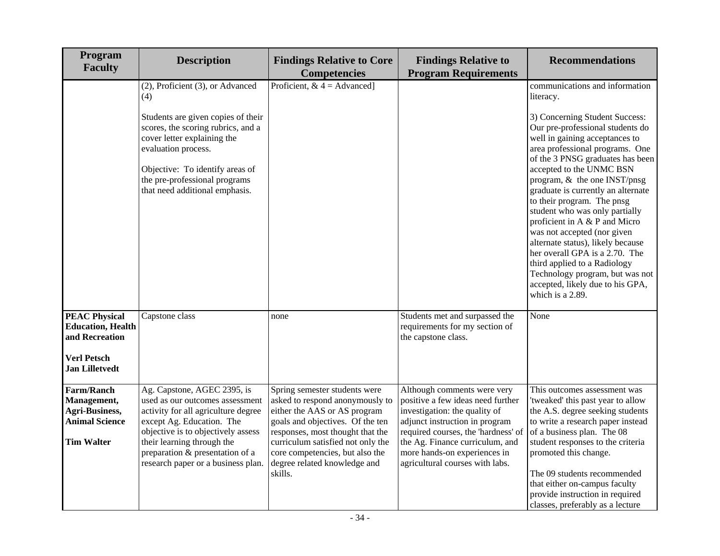| Program<br><b>Faculty</b>                                                                                          | <b>Description</b>                                                                                                                                                                                                                                                              | <b>Findings Relative to Core</b><br><b>Findings Relative to</b><br><b>Competencies</b><br><b>Program Requirements</b>                                                                                                                                                                       |                                                                                                                                                                                                                                                                                  | <b>Recommendations</b>                                                                                                                                                                                                                                                                                                                                                                                                                                                                                                                                                                                                                                         |
|--------------------------------------------------------------------------------------------------------------------|---------------------------------------------------------------------------------------------------------------------------------------------------------------------------------------------------------------------------------------------------------------------------------|---------------------------------------------------------------------------------------------------------------------------------------------------------------------------------------------------------------------------------------------------------------------------------------------|----------------------------------------------------------------------------------------------------------------------------------------------------------------------------------------------------------------------------------------------------------------------------------|----------------------------------------------------------------------------------------------------------------------------------------------------------------------------------------------------------------------------------------------------------------------------------------------------------------------------------------------------------------------------------------------------------------------------------------------------------------------------------------------------------------------------------------------------------------------------------------------------------------------------------------------------------------|
|                                                                                                                    | (2), Proficient (3), or Advanced<br>(4)<br>Students are given copies of their<br>scores, the scoring rubrics, and a<br>cover letter explaining the<br>evaluation process.<br>Objective: To identify areas of<br>the pre-professional programs<br>that need additional emphasis. | Proficient, $& 4 = \text{Advanced}$                                                                                                                                                                                                                                                         |                                                                                                                                                                                                                                                                                  | communications and information<br>literacy.<br>3) Concerning Student Success:<br>Our pre-professional students do<br>well in gaining acceptances to<br>area professional programs. One<br>of the 3 PNSG graduates has been<br>accepted to the UNMC BSN<br>program, & the one INST/pnsg<br>graduate is currently an alternate<br>to their program. The pnsg<br>student who was only partially<br>proficient in A & P and Micro<br>was not accepted (nor given<br>alternate status), likely because<br>her overall GPA is a 2.70. The<br>third applied to a Radiology<br>Technology program, but was not<br>accepted, likely due to his GPA,<br>which is a 2.89. |
| <b>PEAC Physical</b><br><b>Education</b> , Health<br>and Recreation<br><b>Verl Petsch</b><br><b>Jan Lilletvedt</b> | Capstone class                                                                                                                                                                                                                                                                  | none                                                                                                                                                                                                                                                                                        | Students met and surpassed the<br>requirements for my section of<br>the capstone class.                                                                                                                                                                                          | None                                                                                                                                                                                                                                                                                                                                                                                                                                                                                                                                                                                                                                                           |
| <b>Farm/Ranch</b><br>Management,<br>Agri-Business,<br><b>Animal Science</b><br><b>Tim Walter</b>                   | Ag. Capstone, AGEC 2395, is<br>used as our outcomes assessment<br>activity for all agriculture degree<br>except Ag. Education. The<br>objective is to objectively assess<br>their learning through the<br>preparation & presentation of a<br>research paper or a business plan. | Spring semester students were<br>asked to respond anonymously to<br>either the AAS or AS program<br>goals and objectives. Of the ten<br>responses, most thought that the<br>curriculum satisfied not only the<br>core competencies, but also the<br>degree related knowledge and<br>skills. | Although comments were very<br>positive a few ideas need further<br>investigation: the quality of<br>adjunct instruction in program<br>required courses, the 'hardness' of<br>the Ag. Finance curriculum, and<br>more hands-on experiences in<br>agricultural courses with labs. | This outcomes assessment was<br>'tweaked' this past year to allow<br>the A.S. degree seeking students<br>to write a research paper instead<br>of a business plan. The 08<br>student responses to the criteria<br>promoted this change.<br>The 09 students recommended<br>that either on-campus faculty<br>provide instruction in required<br>classes, preferably as a lecture                                                                                                                                                                                                                                                                                  |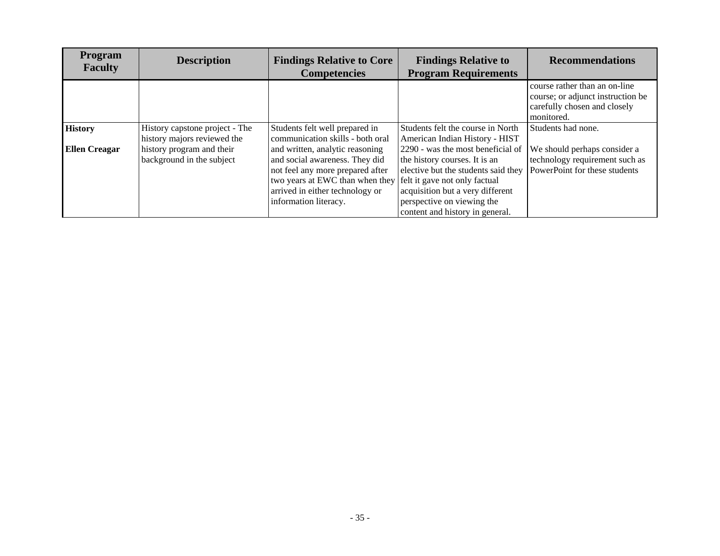| <b>Program</b><br><b>Faculty</b> | <b>Description</b>                                            | <b>Findings Relative to Core</b><br><b>Competencies</b>                                                                                                                                              | <b>Findings Relative to</b><br><b>Program Requirements</b>                                                                                                                                                                                      | <b>Recommendations</b>                                                                                           |
|----------------------------------|---------------------------------------------------------------|------------------------------------------------------------------------------------------------------------------------------------------------------------------------------------------------------|-------------------------------------------------------------------------------------------------------------------------------------------------------------------------------------------------------------------------------------------------|------------------------------------------------------------------------------------------------------------------|
|                                  |                                                               |                                                                                                                                                                                                      |                                                                                                                                                                                                                                                 | course rather than an on-line<br>course; or adjunct instruction be<br>carefully chosen and closely<br>monitored. |
| <b>History</b>                   | History capstone project - The<br>history majors reviewed the | Students felt well prepared in<br>communication skills - both oral                                                                                                                                   | Students felt the course in North<br>American Indian History - HIST                                                                                                                                                                             | Students had none.                                                                                               |
| <b>Ellen Creagar</b>             | history program and their<br>background in the subject        | and written, analytic reasoning<br>and social awareness. They did<br>not feel any more prepared after<br>two years at EWC than when they<br>arrived in either technology or<br>information literacy. | 2290 - was the most beneficial of<br>the history courses. It is an<br>elective but the students said they<br>felt it gave not only factual<br>acquisition but a very different<br>perspective on viewing the<br>content and history in general. | We should perhaps consider a<br>technology requirement such as<br>PowerPoint for these students                  |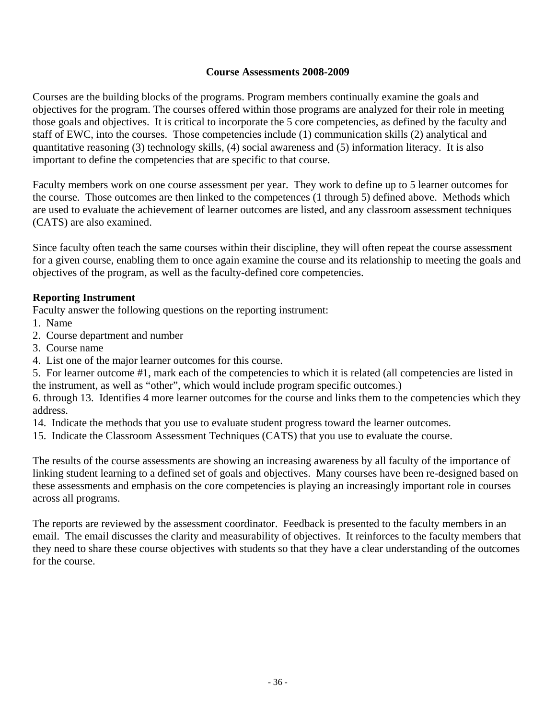## **Course Assessments 2008-2009**

Courses are the building blocks of the programs. Program members continually examine the goals and objectives for the program. The courses offered within those programs are analyzed for their role in meeting those goals and objectives. It is critical to incorporate the 5 core competencies, as defined by the faculty and staff of EWC, into the courses. Those competencies include (1) communication skills (2) analytical and quantitative reasoning (3) technology skills, (4) social awareness and (5) information literacy. It is also important to define the competencies that are specific to that course.

Faculty members work on one course assessment per year. They work to define up to 5 learner outcomes for the course. Those outcomes are then linked to the competences (1 through 5) defined above. Methods which are used to evaluate the achievement of learner outcomes are listed, and any classroom assessment techniques (CATS) are also examined.

Since faculty often teach the same courses within their discipline, they will often repeat the course assessment for a given course, enabling them to once again examine the course and its relationship to meeting the goals and objectives of the program, as well as the faculty-defined core competencies.

## **Reporting Instrument**

Faculty answer the following questions on the reporting instrument:

- 1. Name
- 2. Course department and number
- 3. Course name
- 4. List one of the major learner outcomes for this course.

5. For learner outcome #1, mark each of the competencies to which it is related (all competencies are listed in the instrument, as well as "other", which would include program specific outcomes.)

6. through 13. Identifies 4 more learner outcomes for the course and links them to the competencies which they address.

14. Indicate the methods that you use to evaluate student progress toward the learner outcomes.

15. Indicate the Classroom Assessment Techniques (CATS) that you use to evaluate the course.

The results of the course assessments are showing an increasing awareness by all faculty of the importance of linking student learning to a defined set of goals and objectives. Many courses have been re-designed based on these assessments and emphasis on the core competencies is playing an increasingly important role in courses across all programs.

The reports are reviewed by the assessment coordinator. Feedback is presented to the faculty members in an email. The email discusses the clarity and measurability of objectives. It reinforces to the faculty members that they need to share these course objectives with students so that they have a clear understanding of the outcomes for the course.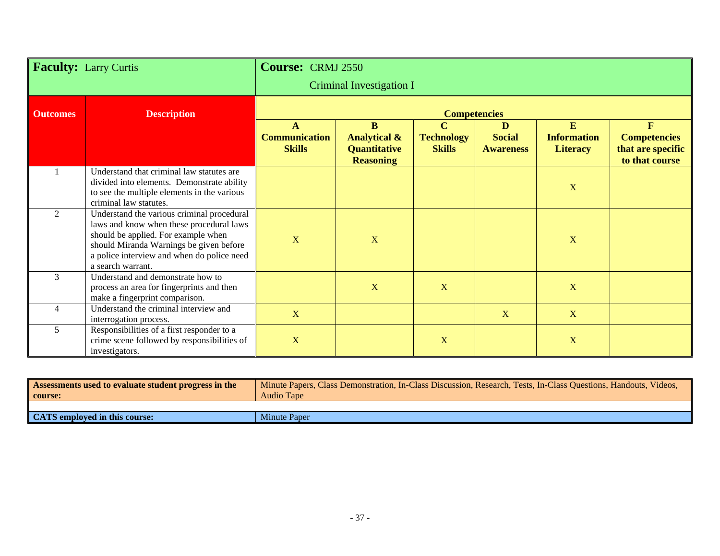| <b>Faculty: Larry Curtis</b> |                                                                                                                                                                                                                                             | <b>Course: CRMJ 2550</b>              |                                                                         |                                                   |                                        |                                            |                                                                 |
|------------------------------|---------------------------------------------------------------------------------------------------------------------------------------------------------------------------------------------------------------------------------------------|---------------------------------------|-------------------------------------------------------------------------|---------------------------------------------------|----------------------------------------|--------------------------------------------|-----------------------------------------------------------------|
|                              |                                                                                                                                                                                                                                             |                                       | <b>Criminal Investigation I</b>                                         |                                                   |                                        |                                            |                                                                 |
| <b>Outcomes</b>              | <b>Description</b>                                                                                                                                                                                                                          |                                       |                                                                         | <b>Competencies</b>                               |                                        |                                            |                                                                 |
|                              |                                                                                                                                                                                                                                             | <b>Communication</b><br><b>Skills</b> | B<br><b>Analytical &amp;</b><br><b>Quantitative</b><br><b>Reasoning</b> | $\mathbf C$<br><b>Technology</b><br><b>Skills</b> | D<br><b>Social</b><br><b>Awareness</b> | E<br><b>Information</b><br><b>Literacy</b> | F<br><b>Competencies</b><br>that are specific<br>to that course |
|                              | Understand that criminal law statutes are<br>divided into elements. Demonstrate ability<br>to see the multiple elements in the various<br>criminal law statutes.                                                                            |                                       |                                                                         |                                                   |                                        | X                                          |                                                                 |
| $\mathfrak{D}$               | Understand the various criminal procedural<br>laws and know when these procedural laws<br>should be applied. For example when<br>should Miranda Warnings be given before<br>a police interview and when do police need<br>a search warrant. | $\mathbf X$                           | X                                                                       |                                                   |                                        | $\mathbf X$                                |                                                                 |
| 3                            | Understand and demonstrate how to<br>process an area for fingerprints and then<br>make a fingerprint comparison.                                                                                                                            |                                       | $\mathbf{X}$                                                            | X                                                 |                                        | X                                          |                                                                 |
| $\overline{\mathcal{A}}$     | Understand the criminal interview and<br>interrogation process.                                                                                                                                                                             | $\mathbf X$                           |                                                                         |                                                   | X                                      | X                                          |                                                                 |
| 5                            | Responsibilities of a first responder to a<br>crime scene followed by responsibilities of<br>investigators.                                                                                                                                 | $\mathbf X$                           |                                                                         | X                                                 |                                        | X                                          |                                                                 |

| Assessments used to evaluate student progress in the<br>   course: | Minute Papers, Class Demonstration, In-Class Discussion, Research, Tests, In-Class Questions, Handouts, Videos,<br><b>Audio Tape</b> |
|--------------------------------------------------------------------|--------------------------------------------------------------------------------------------------------------------------------------|
|                                                                    |                                                                                                                                      |
| <b>CATS</b> employed in this course:                               | Minute Paper                                                                                                                         |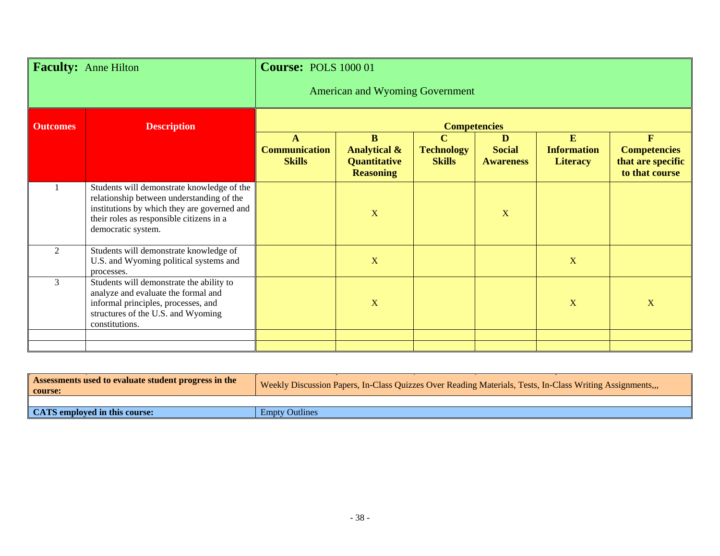| <b>Faculty:</b> Anne Hilton |                                                                                                                                                                                                          | <b>Course: POLS 1000 01</b>                |                                                                                    |                                                   |                                        |                                            |                                                                            |  |
|-----------------------------|----------------------------------------------------------------------------------------------------------------------------------------------------------------------------------------------------------|--------------------------------------------|------------------------------------------------------------------------------------|---------------------------------------------------|----------------------------------------|--------------------------------------------|----------------------------------------------------------------------------|--|
|                             |                                                                                                                                                                                                          |                                            | <b>American and Wyoming Government</b>                                             |                                                   |                                        |                                            |                                                                            |  |
| <b>Outcomes</b>             | <b>Description</b>                                                                                                                                                                                       | <b>Competencies</b>                        |                                                                                    |                                                   |                                        |                                            |                                                                            |  |
|                             |                                                                                                                                                                                                          | A<br><b>Communication</b><br><b>Skills</b> | <sub>B</sub><br><b>Analytical &amp;</b><br><b>Quantitative</b><br><b>Reasoning</b> | $\mathbf C$<br><b>Technology</b><br><b>Skills</b> | D<br><b>Social</b><br><b>Awareness</b> | E<br><b>Information</b><br><b>Literacy</b> | $\mathbf{F}$<br><b>Competencies</b><br>that are specific<br>to that course |  |
|                             | Students will demonstrate knowledge of the<br>relationship between understanding of the<br>institutions by which they are governed and<br>their roles as responsible citizens in a<br>democratic system. |                                            | $\mathbf X$                                                                        |                                                   | X                                      |                                            |                                                                            |  |
| 2                           | Students will demonstrate knowledge of<br>U.S. and Wyoming political systems and<br>processes.                                                                                                           |                                            | $\mathbf X$                                                                        |                                                   |                                        | $\mathbf X$                                |                                                                            |  |
| 3                           | Students will demonstrate the ability to<br>analyze and evaluate the formal and<br>informal principles, processes, and<br>structures of the U.S. and Wyoming<br>constitutions.                           |                                            | $\mathbf X$                                                                        |                                                   |                                        | X                                          | $\mathbf X$                                                                |  |
|                             |                                                                                                                                                                                                          |                                            |                                                                                    |                                                   |                                        |                                            |                                                                            |  |

| Assessments used to evaluate student progress in the<br>course: | Weekly Discussion Papers, In-Class Quizzes Over Reading Materials, Tests, In-Class Writing Assignments, |
|-----------------------------------------------------------------|---------------------------------------------------------------------------------------------------------|
|                                                                 |                                                                                                         |
| CATS employed in this course:                                   | <b>Empty Outlines</b>                                                                                   |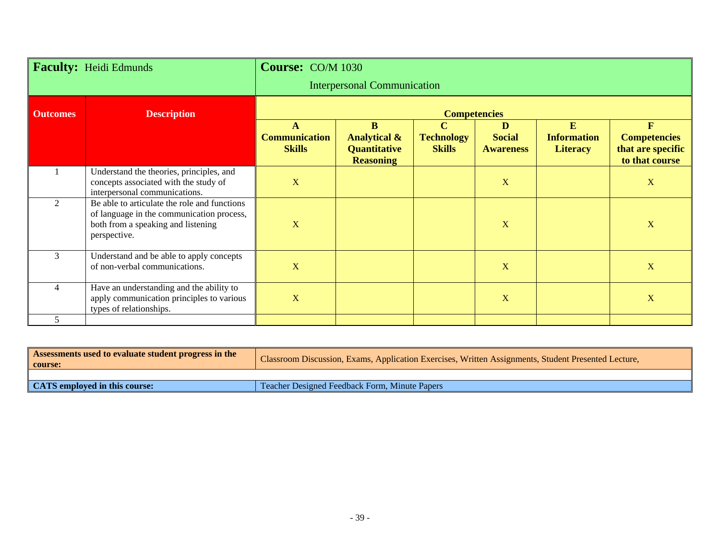| <b>Faculty: Heidi Edmunds</b> |                                                                                                                                                 | <b>Course: CO/M 1030</b>              |                                                                  |                                                   |                                        |                                            |                                                                            |  |
|-------------------------------|-------------------------------------------------------------------------------------------------------------------------------------------------|---------------------------------------|------------------------------------------------------------------|---------------------------------------------------|----------------------------------------|--------------------------------------------|----------------------------------------------------------------------------|--|
|                               |                                                                                                                                                 |                                       | <b>Interpersonal Communication</b>                               |                                                   |                                        |                                            |                                                                            |  |
| <b>Outcomes</b>               | <b>Description</b>                                                                                                                              | <b>Competencies</b>                   |                                                                  |                                                   |                                        |                                            |                                                                            |  |
|                               |                                                                                                                                                 | <b>Communication</b><br><b>Skills</b> | B<br><b>Analytical &amp;</b><br>Quantitative<br><b>Reasoning</b> | $\mathbf C$<br><b>Technology</b><br><b>Skills</b> | D<br><b>Social</b><br><b>Awareness</b> | E<br><b>Information</b><br><b>Literacy</b> | $\mathbf{F}$<br><b>Competencies</b><br>that are specific<br>to that course |  |
|                               | Understand the theories, principles, and<br>concepts associated with the study of<br>interpersonal communications.                              | $\mathbf X$                           |                                                                  |                                                   | $\mathbf X$                            |                                            | X                                                                          |  |
| $\mathfrak{D}$                | Be able to articulate the role and functions<br>of language in the communication process,<br>both from a speaking and listening<br>perspective. | $\mathbf X$                           |                                                                  |                                                   | X                                      |                                            | $\mathbf X$                                                                |  |
| 3                             | Understand and be able to apply concepts<br>of non-verbal communications.                                                                       | $\mathbf X$                           |                                                                  |                                                   | X                                      |                                            | $\mathbf X$                                                                |  |
| 4                             | Have an understanding and the ability to<br>apply communication principles to various<br>types of relationships.                                | $\mathbf X$                           |                                                                  |                                                   | X                                      |                                            | $\mathbf X$                                                                |  |
| 5                             |                                                                                                                                                 |                                       |                                                                  |                                                   |                                        |                                            |                                                                            |  |

| Assessments used to evaluate student progress in the<br>  course: | Classroom Discussion, Exams, Application Exercises, Written Assignments, Student Presented Lecture, |
|-------------------------------------------------------------------|-----------------------------------------------------------------------------------------------------|
|                                                                   |                                                                                                     |
| CATS employed in this course:                                     | Teacher Designed Feedback Form, Minute Papers                                                       |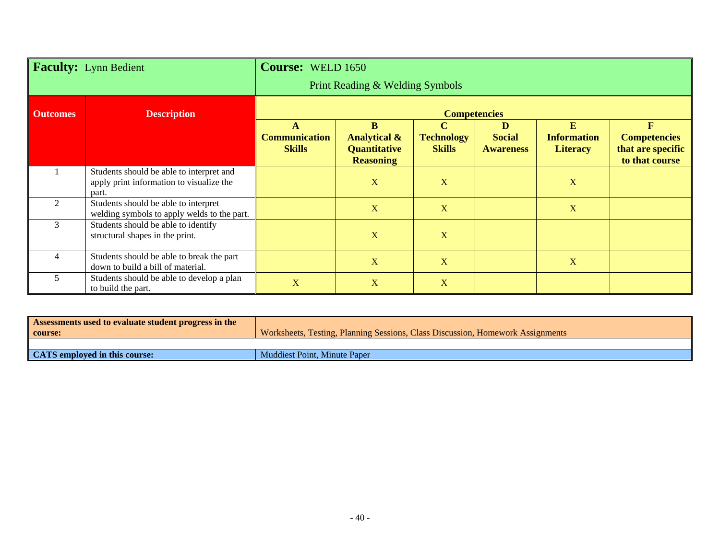| <b>Faculty:</b> Lynn Bedient |                                                                                               | <b>Course: WELD 1650</b>                   |                                                                         |                                                   |                                        |                                                   |                                                                 |  |
|------------------------------|-----------------------------------------------------------------------------------------------|--------------------------------------------|-------------------------------------------------------------------------|---------------------------------------------------|----------------------------------------|---------------------------------------------------|-----------------------------------------------------------------|--|
|                              |                                                                                               | Print Reading & Welding Symbols            |                                                                         |                                                   |                                        |                                                   |                                                                 |  |
| <b>Outcomes</b>              | <b>Description</b>                                                                            | <b>Competencies</b>                        |                                                                         |                                                   |                                        |                                                   |                                                                 |  |
|                              |                                                                                               | A<br><b>Communication</b><br><b>Skills</b> | B<br><b>Analytical &amp;</b><br><b>Quantitative</b><br><b>Reasoning</b> | $\mathbf C$<br><b>Technology</b><br><b>Skills</b> | D<br><b>Social</b><br><b>Awareness</b> | $\bf{E}$<br><b>Information</b><br><b>Literacy</b> | F<br><b>Competencies</b><br>that are specific<br>to that course |  |
|                              | Students should be able to interpret and<br>apply print information to visualize the<br>part. |                                            | X                                                                       | X                                                 |                                        | X                                                 |                                                                 |  |
| $\overline{2}$               | Students should be able to interpret<br>welding symbols to apply welds to the part.           |                                            | X                                                                       | X                                                 |                                        | X                                                 |                                                                 |  |
| 3                            | Students should be able to identify<br>structural shapes in the print.                        |                                            | X                                                                       | X                                                 |                                        |                                                   |                                                                 |  |
| 4                            | Students should be able to break the part<br>down to build a bill of material.                |                                            | X                                                                       | X                                                 |                                        | X                                                 |                                                                 |  |
| 5                            | Students should be able to develop a plan<br>to build the part.                               | $\mathbf{X}$                               | X                                                                       | $\mathbf X$                                       |                                        |                                                   |                                                                 |  |

| Assessments used to evaluate student progress in the |                                                                                |
|------------------------------------------------------|--------------------------------------------------------------------------------|
| course:                                              | Worksheets, Testing, Planning Sessions, Class Discussion, Homework Assignments |
|                                                      |                                                                                |
| CATS employed in this course:                        | Muddiest Point, Minute Paper                                                   |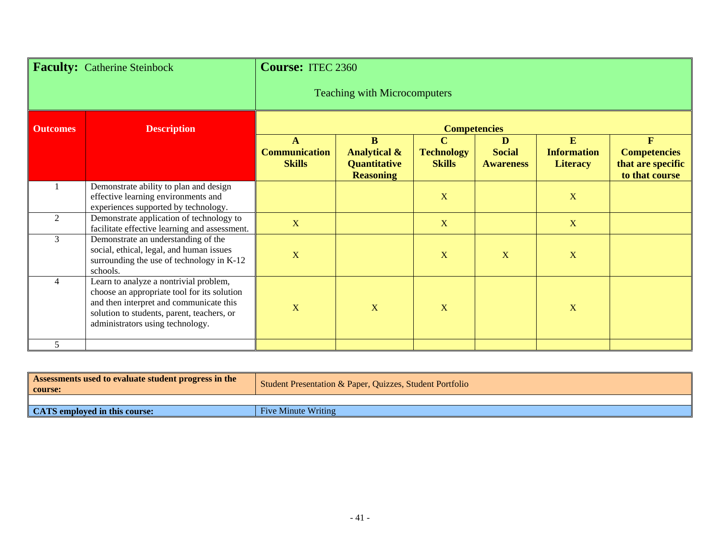| <b>Faculty:</b> Catherine Steinbock |                                                                                                                                                                                                                    | <b>Course: ITEC 2360</b>              |                                                                         |                                                   |                                        |                                            |                                                                            |
|-------------------------------------|--------------------------------------------------------------------------------------------------------------------------------------------------------------------------------------------------------------------|---------------------------------------|-------------------------------------------------------------------------|---------------------------------------------------|----------------------------------------|--------------------------------------------|----------------------------------------------------------------------------|
|                                     |                                                                                                                                                                                                                    | <b>Teaching with Microcomputers</b>   |                                                                         |                                                   |                                        |                                            |                                                                            |
| <b>Outcomes</b>                     | <b>Description</b>                                                                                                                                                                                                 | <b>Competencies</b>                   |                                                                         |                                                   |                                        |                                            |                                                                            |
|                                     |                                                                                                                                                                                                                    | <b>Communication</b><br><b>Skills</b> | B<br><b>Analytical &amp;</b><br><b>Quantitative</b><br><b>Reasoning</b> | $\mathbf C$<br><b>Technology</b><br><b>Skills</b> | D<br><b>Social</b><br><b>Awareness</b> | E<br><b>Information</b><br><b>Literacy</b> | $\mathbf{F}$<br><b>Competencies</b><br>that are specific<br>to that course |
|                                     | Demonstrate ability to plan and design<br>effective learning environments and<br>experiences supported by technology.                                                                                              |                                       |                                                                         | X                                                 |                                        | X                                          |                                                                            |
| $\overline{2}$                      | Demonstrate application of technology to<br>facilitate effective learning and assessment.                                                                                                                          | $\mathbf X$                           |                                                                         | $\mathbf X$                                       |                                        | $\mathbf X$                                |                                                                            |
| 3                                   | Demonstrate an understanding of the<br>social, ethical, legal, and human issues<br>surrounding the use of technology in K-12<br>schools.                                                                           | $\mathbf X$                           |                                                                         | X                                                 | X                                      | $\overline{\mathbf{X}}$                    |                                                                            |
| $\overline{4}$                      | Learn to analyze a nontrivial problem,<br>choose an appropriate tool for its solution<br>and then interpret and communicate this<br>solution to students, parent, teachers, or<br>administrators using technology. | $\mathbf X$                           | X                                                                       | X                                                 |                                        | $\overline{\mathbf{X}}$                    |                                                                            |
| 5                                   |                                                                                                                                                                                                                    |                                       |                                                                         |                                                   |                                        |                                            |                                                                            |

| <b>Assessments used to evaluate student progress in the</b><br>course: | Student Presentation & Paper, Quizzes, Student Portfolio |
|------------------------------------------------------------------------|----------------------------------------------------------|
|                                                                        |                                                          |
| CATS employed in this course:                                          | <b>Five Minute Writing</b>                               |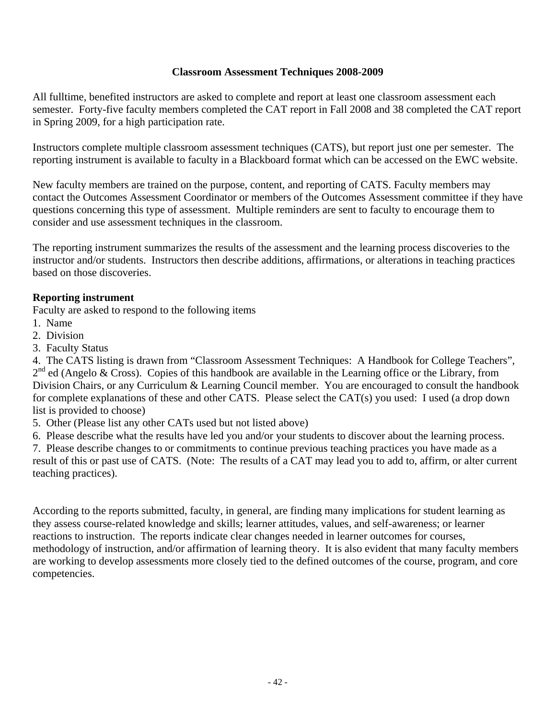## **Classroom Assessment Techniques 2008-2009**

All fulltime, benefited instructors are asked to complete and report at least one classroom assessment each semester. Forty-five faculty members completed the CAT report in Fall 2008 and 38 completed the CAT report in Spring 2009, for a high participation rate.

Instructors complete multiple classroom assessment techniques (CATS), but report just one per semester. The reporting instrument is available to faculty in a Blackboard format which can be accessed on the EWC website.

New faculty members are trained on the purpose, content, and reporting of CATS. Faculty members may contact the Outcomes Assessment Coordinator or members of the Outcomes Assessment committee if they have questions concerning this type of assessment. Multiple reminders are sent to faculty to encourage them to consider and use assessment techniques in the classroom.

The reporting instrument summarizes the results of the assessment and the learning process discoveries to the instructor and/or students. Instructors then describe additions, affirmations, or alterations in teaching practices based on those discoveries.

## **Reporting instrument**

Faculty are asked to respond to the following items

- 1. Name
- 2. Division
- 3. Faculty Status

4. The CATS listing is drawn from "Classroom Assessment Techniques: A Handbook for College Teachers",  $2<sup>nd</sup>$  ed (Angelo & Cross). Copies of this handbook are available in the Learning office or the Library, from Division Chairs, or any Curriculum & Learning Council member. You are encouraged to consult the handbook for complete explanations of these and other CATS. Please select the CAT(s) you used: I used (a drop down list is provided to choose)

5. Other (Please list any other CATs used but not listed above)

6. Please describe what the results have led you and/or your students to discover about the learning process.

7. Please describe changes to or commitments to continue previous teaching practices you have made as a result of this or past use of CATS. (Note: The results of a CAT may lead you to add to, affirm, or alter current teaching practices).

According to the reports submitted, faculty, in general, are finding many implications for student learning as they assess course-related knowledge and skills; learner attitudes, values, and self-awareness; or learner reactions to instruction. The reports indicate clear changes needed in learner outcomes for courses, methodology of instruction, and/or affirmation of learning theory. It is also evident that many faculty members are working to develop assessments more closely tied to the defined outcomes of the course, program, and core competencies.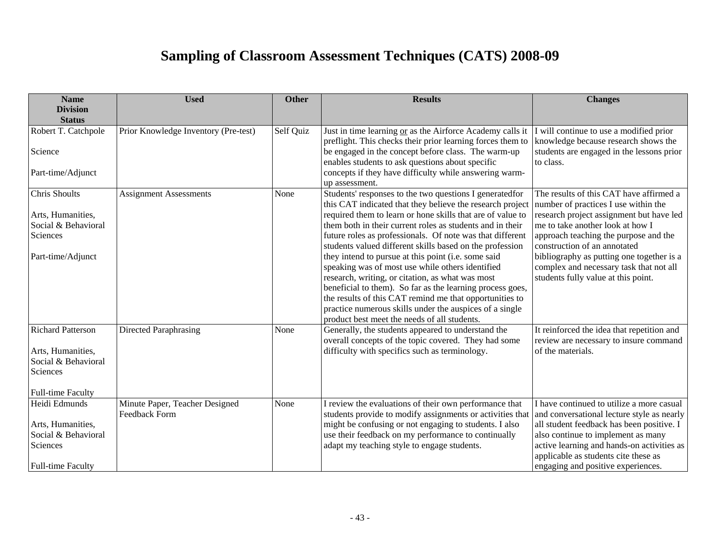# **Sampling of Classroom Assessment Techniques (CATS) 2008-09**

| <b>Name</b>                                          | <b>Used</b>                                            | <b>Other</b> | <b>Results</b>                                                                                                                                                                       | <b>Changes</b>                                                                                                        |
|------------------------------------------------------|--------------------------------------------------------|--------------|--------------------------------------------------------------------------------------------------------------------------------------------------------------------------------------|-----------------------------------------------------------------------------------------------------------------------|
| <b>Division</b><br><b>Status</b>                     |                                                        |              |                                                                                                                                                                                      |                                                                                                                       |
| Robert T. Catchpole                                  | Prior Knowledge Inventory (Pre-test)                   | Self Quiz    | Just in time learning or as the Airforce Academy calls it                                                                                                                            | I will continue to use a modified prior                                                                               |
| Science                                              |                                                        |              | preflight. This checks their prior learning forces them to<br>be engaged in the concept before class. The warm-up                                                                    | knowledge because research shows the<br>students are engaged in the lessons prior                                     |
| Part-time/Adjunct                                    |                                                        |              | enables students to ask questions about specific<br>concepts if they have difficulty while answering warm-<br>up assessment.                                                         | to class.                                                                                                             |
| <b>Chris Shoults</b>                                 | <b>Assignment Assessments</b>                          | None         | Students' responses to the two questions I generatedfor<br>this CAT indicated that they believe the research project                                                                 | The results of this CAT have affirmed a<br>number of practices I use within the                                       |
| Arts, Humanities,<br>Social & Behavioral<br>Sciences |                                                        |              | required them to learn or hone skills that are of value to<br>them both in their current roles as students and in their<br>future roles as professionals. Of note was that different | research project assignment but have led<br>me to take another look at how I<br>approach teaching the purpose and the |
| Part-time/Adjunct                                    |                                                        |              | students valued different skills based on the profession<br>they intend to pursue at this point (i.e. some said<br>speaking was of most use while others identified                  | construction of an annotated<br>bibliography as putting one together is a<br>complex and necessary task that not all  |
|                                                      |                                                        |              | research, writing, or citation, as what was most<br>beneficial to them). So far as the learning process goes,                                                                        | students fully value at this point.                                                                                   |
|                                                      |                                                        |              | the results of this CAT remind me that opportunities to<br>practice numerous skills under the auspices of a single                                                                   |                                                                                                                       |
|                                                      |                                                        |              | product best meet the needs of all students.                                                                                                                                         |                                                                                                                       |
| <b>Richard Patterson</b>                             | <b>Directed Paraphrasing</b>                           | None         | Generally, the students appeared to understand the<br>overall concepts of the topic covered. They had some                                                                           | It reinforced the idea that repetition and<br>review are necessary to insure command                                  |
| Arts, Humanities,<br>Social & Behavioral<br>Sciences |                                                        |              | difficulty with specifics such as terminology.                                                                                                                                       | of the materials.                                                                                                     |
| <b>Full-time Faculty</b>                             |                                                        |              |                                                                                                                                                                                      |                                                                                                                       |
| Heidi Edmunds                                        | Minute Paper, Teacher Designed<br><b>Feedback Form</b> | None         | I review the evaluations of their own performance that<br>students provide to modify assignments or activities that                                                                  | I have continued to utilize a more casual<br>and conversational lecture style as nearly                               |
| Arts, Humanities,                                    |                                                        |              | might be confusing or not engaging to students. I also                                                                                                                               | all student feedback has been positive. I                                                                             |
| Social & Behavioral                                  |                                                        |              | use their feedback on my performance to continually                                                                                                                                  | also continue to implement as many                                                                                    |
| Sciences                                             |                                                        |              | adapt my teaching style to engage students.                                                                                                                                          | active learning and hands-on activities as<br>applicable as students cite these as                                    |
| <b>Full-time Faculty</b>                             |                                                        |              |                                                                                                                                                                                      | engaging and positive experiences.                                                                                    |